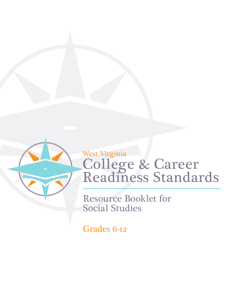

# College & Career Readiness Standards West Virginia

Resource Booklet for Social Studies

Grades 6-12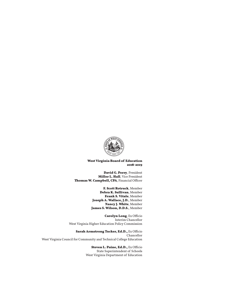

#### **West Virginia Board of Education 2018-2019**

**David G. Perry**, President **Miller L. Hall**, Vice President **Thomas W. Campbell, CPA**, Financial Officer

> **F. Scott Rotruck**, Member **Debra K. Sullivan**, Member **Frank S. Vitale**, Member **Joseph A. Wallace, J.D.**, Member **Nancy J. White**, Member **James S. Wilson, D.D.S.**, Member

**Carolyn Long**, Ex Officio Interim Chancellor West Virginia Higher Education Policy Commission

**Sarah Armstrong Tucker, Ed.D.,** Ex Officio Chancellor West Virginia Council for Community and Technical College Education

> **Steven L. Paine, Ed.D.,** Ex Officio State Superintendent of Schools West Virginia Department of Education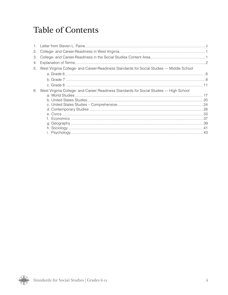## **Table of Contents**

| 2. |                                                                                          |  |
|----|------------------------------------------------------------------------------------------|--|
| З. |                                                                                          |  |
| 4. |                                                                                          |  |
| 5. | West Virginia College- and Career-Readiness Standards for Social Studies - Middle School |  |
|    |                                                                                          |  |
|    |                                                                                          |  |
|    |                                                                                          |  |
| 6. | West Virginia College- and Career Readiness Standards for Social Studies — High School   |  |
|    |                                                                                          |  |
|    |                                                                                          |  |
|    |                                                                                          |  |
|    |                                                                                          |  |
|    |                                                                                          |  |
|    |                                                                                          |  |
|    |                                                                                          |  |
|    |                                                                                          |  |
|    |                                                                                          |  |
|    |                                                                                          |  |

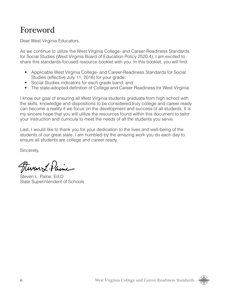## Foreword

Dear West Virginia Educators,

As we continue to utilize the West Virginia College- and Career-Readiness Standards for Social Studies (West Virginia Board of Education Policy 2520.4), I am excited to share this standards-focused resource booklet with you. In this booklet, you will find:

- Applicable West Virginia College- and Career-Readiness Standards for Social Studies (effective July 11, 2016) for your grade;
- Social Studies indicators for each grade band; and
- The state-adopted definition of College and Career Readiness for West Virginia.

I know our goal of ensuring all West Virginia students graduate from high school with the skills, knowledge and dispositions to be considered truly college and career ready can become a reality if we focus on the development and success of all students. It is my sincere hope that you will utilize the resources found within this document to tailor your instruction and curricula to meet the needs of all the students you serve.

Last, I would like to thank you for your dedication to the lives and well-being of the students of our great state. I am humbled by the amazing work you do each day to ensure all students are college and career ready.

Sincerely,

Fluren L. Paine

Steven L. Paine, Ed.D State Superintendent of Schools

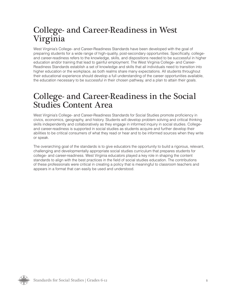## College- and Career-Readiness in West Virginia

West Virginia's College- and Career-Readiness Standards have been developed with the goal of preparing students for a wide range of high-quality, post-secondary opportunities. Specifically, collegeand career-readiness refers to the knowledge, skills, and dispositions needed to be successful in higher education and/or training that lead to gainful employment. The West Virginia College- and Career-Readiness Standards establish a set of knowledge and skills that all individuals need to transition into higher education or the workplace, as both realms share many expectations. All students throughout their educational experience should develop a full understanding of the career opportunities available, the education necessary to be successful in their chosen pathway, and a plan to attain their goals.

## College- and Career-Readiness in the Social Studies Content Area

West Virginia's College- and Career-Readiness Standards for Social Studies promote proficiency in civics, economics, geography, and history. Students will develop problem solving and critical thinking skills independently and collaboratively as they engage in informed inquiry in social studies. Collegeand career-readiness is supported in social studies as students acquire and further develop their abilities to be critical consumers of what they read or hear and to be informed sources when they write or speak.

The overarching goal of the standards is to give educators the opportunity to build a rigorous, relevant, challenging and developmentally appropriate social studies curriculum that prepares students for college- and career-readiness. West Virginia educators played a key role in shaping the content standards to align with the best practices in the field of social studies education. The contributions of these professionals were critical in creating a policy that is meaningful to classroom teachers and appears in a format that can easily be used and understood.

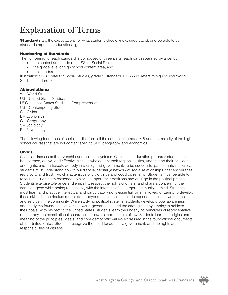## Explanation of Terms

**Standards** are the expectations for what students should know, understand, and be able to do; standards represent educational goals.

#### Numbering of Standards

The numbering for each standard is composed of three parts, each part separated by a period:

- the content area code (e.g., SS for Social Studies),
- the grade level or high school content area, and
- the standard.

Illustration: SS.3.1 refers to Social Studies, grade 3, standard 1. SS.W.20 refers to high school World Studies standard 20.

#### Abbreviations:

W – World Studies

- US United States Studies
- USC United States Studies Comprehensive
- CS Contemporary Studies
- C Civics
- E Economics
- G Geography
- S Sociology
- P Psychology

The following four areas of social studies form all the courses in grades K-8 and the majority of the high school courses that are not content specific (e.g. geography and economics):

#### **Civics**

Civics addresses both citizenship and political systems. Citizenship education prepares students to be informed, active, and effective citizens who accept their responsibilities, understand their privileges and rights, and participate actively in society and government. To be successful participants in society, students must understand how to build social capital (a network of social relationships) that encourages reciprocity and trust, two characteristics of civic virtue and good citizenship. Students must be able to research issues, form reasoned opinions, support their positions and engage in the political process. Students exercise tolerance and empathy, respect the rights of others, and share a concern for the common good while acting responsibly with the interests of the larger community in mind. Students must learn and practice intellectual and participatory skills essential for an involved citizenry. To develop these skills, the curriculum must extend beyond the school to include experiences in the workplace and service in the community. While studying political systems, students develop global awareness and study the foundations of various world governments and the strategies they employ to achieve their goals. With respect to the United States, students learn the underlying principles of representative democracy, the constitutional separation of powers, and the rule of law. Students learn the origins and meaning of the principles, ideals, and core democratic values expressed in the foundational documents of the United States. Students recognize the need for authority, government, and the rights and responsibilities of citizens.

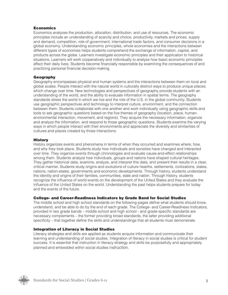#### **Economics**

Economics analyzes the production, allocation, distribution, and use of resources. The economic principles include an understanding of scarcity and choice, productivity, markets and prices, supply and demand, competition, role of government, international trade factors, and consumer decisions in a global economy. Understanding economic principles, whole economies and the interactions between different types of economies helps students comprehend the exchange of information, capital, and products across the globe. Learners investigate economic principles and their application to historical situations. Learners will work cooperatively and individually to analyze how basic economic principles affect their daily lives. Students become financially responsible by examining the consequences of and practicing personal financial decision-making.

#### Geography

Geography encompasses physical and human systems and the interactions between them on local and global scales. People interact with the natural world in culturally distinct ways to produce unique places, which change over time. New technologies and perspectives of geography provide students with an understanding of the world, and the ability to evaluate information in spatial terms. The geography standards stress the world in which we live and the role of the U.S. in the global community. Students use geographic perspectives and technology to interpret culture, environment, and the connection between them. Students collaborate with one another and work individually using geographic skills and tools to ask geographic questions based on the five themes of geography (location, place, humanenvironmental interaction, movement, and regions). They acquire the necessary information, organize and analyze the information, and respond to those geographic questions. Students examine the varying ways in which people interact with their environments and appreciate the diversity and similarities of cultures and places created by those interactions.

#### **History**

History organizes events and phenomena in terms of when they occurred and examines where, how, and why they took place. Students study how individuals and societies have changed and interacted over time. They organize events through chronologies and evaluate cause-and-effect relationships among them. Students analyze how individuals, groups and nations have shaped cultural heritages. They gather historical data, examine, analyze, and interpret this data, and present their results in a clear, critical manner. Students study origins and evolutions of culture hearths, settlements, civilizations, states, nations, nation-states, governments and economic developments. Through history, students understand the identity and origins of their families, communities, state and nation. Through history, students recognize the influence of world events on the development of the United States and they evaluate the influence of the United States on the world. Understanding the past helps students prepare for today and the events of the future.

#### College- and Career-Readiness Indicators by Grade Band for Social Studies

The middle school and high school standards on the following pages define what students should know, understand, and be able to do by the end of each grade. The College- and Career-Readiness Indicators, provided in two grade bands – middle school and high school - and grade-specific standards are necessary complements – the former providing broad standards, the latter providing additional specificity – that together define the skills and understandings that all students must demonstrate.

#### Integration of Literacy in Social Studies

Literacy strategies and skills are applied as students acquire information and communicate their learning and understanding of social studies. Integration of literacy in social studies is critical for student success. It is essential that instruction in literacy strategy and skills be purposefully and appropriately planned and embedded within social studies instruction.

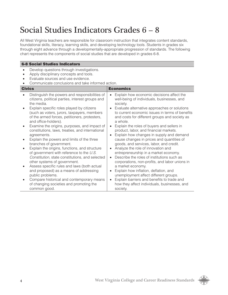## Social Studies Indicators Grades 6 – 8

All West Virginia teachers are responsible for classroom instruction that integrates content standards, foundational skills, literacy, learning skills, and developing technology tools. Students in grades six through eight advance through a developmentally-appropriate progression of standards. The following chart represents the components of social studies that are developed in grades 6-8.

| <b>6-8 Social Studies Indicators</b>                                                                                                                                                                                                                                                                                                                                                                                                                                                                                                                                                                                                                                                                                                                                                                                                                                                   |                                                                                                                                                                                                                                                                                                                                                                                                                                                                                                                                                                                                                                                                                                                                                                                                                                                                                                                                                     |
|----------------------------------------------------------------------------------------------------------------------------------------------------------------------------------------------------------------------------------------------------------------------------------------------------------------------------------------------------------------------------------------------------------------------------------------------------------------------------------------------------------------------------------------------------------------------------------------------------------------------------------------------------------------------------------------------------------------------------------------------------------------------------------------------------------------------------------------------------------------------------------------|-----------------------------------------------------------------------------------------------------------------------------------------------------------------------------------------------------------------------------------------------------------------------------------------------------------------------------------------------------------------------------------------------------------------------------------------------------------------------------------------------------------------------------------------------------------------------------------------------------------------------------------------------------------------------------------------------------------------------------------------------------------------------------------------------------------------------------------------------------------------------------------------------------------------------------------------------------|
| Develop questions through investigations.<br>$\bullet$<br>Apply disciplinary concepts and tools.<br>Evaluate sources and use evidence.<br>Communicate conclusions and take informed action.<br><b>Civics</b>                                                                                                                                                                                                                                                                                                                                                                                                                                                                                                                                                                                                                                                                           | <b>Economics</b>                                                                                                                                                                                                                                                                                                                                                                                                                                                                                                                                                                                                                                                                                                                                                                                                                                                                                                                                    |
| Distinguish the powers and responsibilities of<br>citizens, political parties, interest groups and<br>the media.<br>Explain specific roles played by citizens<br>(such as voters, jurors, taxpayers, members<br>of the armed forces, petitioners, protesters,<br>and office-holders).<br>Examine the origins, purposes, and impact of<br>constitutions, laws, treaties, and international<br>agreements.<br>Explain the powers and limits of the three<br>branches of government.<br>Explain the origins, functions, and structure<br>of government with reference to the U.S.<br>Constitution, state constitutions, and selected<br>other systems of government.<br>Assess specific rules and laws (both actual<br>and proposed) as a means of addressing<br>public problems.<br>Compare historical and contemporary means<br>of changing societies and promoting the<br>common good. | Explain how economic decisions affect the<br>$\bullet$<br>well-being of individuals, businesses, and<br>society.<br>Evaluate alternative approaches or solutions<br>to current economic issues in terms of benefits<br>and costs for different groups and society as<br>a whole.<br>Explain the roles of buyers and sellers in<br>product, labor, and financial markets.<br>Explain how changes in supply and demand<br>$\bullet$<br>cause changes in prices and quantities of<br>goods, and services, labor, and credit.<br>Analyze the role of innovation and<br>entrepreneurship in a market economy.<br>Describe the roles of institutions such as<br>$\bullet$<br>corporations, non-profits, and labor unions in<br>a market economy.<br>Explain how inflation, deflation, and<br>unemployment affect different groups.<br>Explain barriers and benefits to trade and<br>$\bullet$<br>how they affect individuals, businesses, and<br>society. |

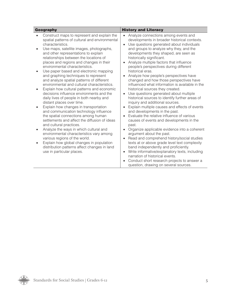| <b>Geography</b>                                                                                                                                                                                                                                                                                                                                                                                                                                                                                                                                                                                                                                                                                                                                                                                                                                                                                                                                                                                                                                                                                                                    | <b>History and Literacy</b>                                                                                                                                                                                                                                                                                                                                                                                                                                                                                                                                                                                                                                                                                                                                                                                                                                                                                                                                                                                                                                                                                                                                                                                                                                                                                      |  |
|-------------------------------------------------------------------------------------------------------------------------------------------------------------------------------------------------------------------------------------------------------------------------------------------------------------------------------------------------------------------------------------------------------------------------------------------------------------------------------------------------------------------------------------------------------------------------------------------------------------------------------------------------------------------------------------------------------------------------------------------------------------------------------------------------------------------------------------------------------------------------------------------------------------------------------------------------------------------------------------------------------------------------------------------------------------------------------------------------------------------------------------|------------------------------------------------------------------------------------------------------------------------------------------------------------------------------------------------------------------------------------------------------------------------------------------------------------------------------------------------------------------------------------------------------------------------------------------------------------------------------------------------------------------------------------------------------------------------------------------------------------------------------------------------------------------------------------------------------------------------------------------------------------------------------------------------------------------------------------------------------------------------------------------------------------------------------------------------------------------------------------------------------------------------------------------------------------------------------------------------------------------------------------------------------------------------------------------------------------------------------------------------------------------------------------------------------------------|--|
| Construct maps to represent and explain the<br>spatial patterns of cultural and environmental<br>characteristics.<br>Use maps, satellite images, photographs,<br>and other representations to explain<br>relationships between the locations of<br>places and regions and changes in their<br>environmental characteristics.<br>Use paper based and electronic mapping<br>and graphing techniques to represent<br>and analyze spatial patterns of different<br>environmental and cultural characteristics.<br>Explain how cultural patterns and economic<br>decisions influence environments and the<br>daily lives of people in both nearby and<br>distant places over time.<br>Explain how changes in transportation<br>and communication technology influence<br>the spatial connections among human<br>settlements and affect the diffusion of ideas<br>and cultural practices.<br>Analyze the ways in which cultural and<br>environmental characteristics vary among<br>various regions of the world.<br>Explain how global changes in population<br>distribution patterns affect changes in land<br>use in particular places. | Analyze connections among events and<br>$\bullet$<br>developments in broader historical contexts.<br>Use questions generated about individuals<br>$\bullet$<br>and groups to analyze why they, and the<br>developments they shaped, are seen as<br>historically significant.<br>Analyze multiple factors that influence<br>people's perspectives during different<br>historical eras.<br>Analyze how people's perspectives have<br>changed and how those perspectives have<br>influenced what information is available in the<br>historical sources they created.<br>Use questions generated about multiple<br>$\bullet$<br>historical sources to identify further areas of<br>inquiry and additional sources.<br>Explain multiple causes and effects of events<br>and developments in the past.<br>Evaluate the relative influence of various<br>causes of events and developments in the<br>past.<br>Organize applicable evidence into a coherent<br>argument about the past.<br>Read and comprehend history/social studies<br>texts at or above grade level text complexity<br>band independently and proficiently.<br>Write informative/explanatory texts, including<br>$\bullet$<br>narration of historical events.<br>Conduct short research projects to answer a<br>question, drawing on several sources. |  |

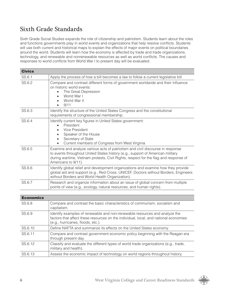### Sixth Grade Standards

Sixth Grade Social Studies expands the role of citizenship and patriotism. Students learn about the roles and functions governments play in world events and organizations that help resolve conflicts. Students will use both current and historical maps to explain the effects of major events on political boundaries around the world. Students will learn how the economy is affected by trade and trade organizations, technology, and renewable and nonrenewable resources as well as world conflicts. The causes and responses to world conflicts from World War I to present day will be evaluated.

| <b>Civics</b> |                                                                                                                                                                                                                                                                                 |  |
|---------------|---------------------------------------------------------------------------------------------------------------------------------------------------------------------------------------------------------------------------------------------------------------------------------|--|
| SS.6.1        | Apply the process of how a bill becomes a law to follow a current legislative bill.                                                                                                                                                                                             |  |
| SS.6.2        | Compare and contrast different forms of government worldwide and their influence<br>on historic world events:<br>The Great Depression<br>World War I<br>World War II<br>9/11                                                                                                    |  |
| SS.6.3        | Identify the structure of the United States Congress and the constitutional<br>requirements of congressional membership.                                                                                                                                                        |  |
| SS.6.4        | Identify current key figures in United States government:<br>President<br>Vice President<br>Speaker of the House<br>Secretary of State<br>$\bullet$<br>Current members of Congress from West Virginia                                                                           |  |
| SS.6.5        | Examine and analyze various acts of patriotism and civil discourse in response<br>to events throughout United States history (e.g., support of American military<br>during wartime, Vietnam protests, Civil Rights, respect for the flag and response of<br>Americans to 9/11). |  |
| SS.6.6        | Identify global relief and development organizations and examine how they provide<br>global aid and support (e.g., Red Cross, UNICEF, Doctors without Borders, Engineers<br>without Borders and World Health Organization).                                                     |  |
| SS.6.7        | Research and organize information about an issue of global concern from multiple<br>points of view (e.g., ecology, natural resources, and human rights).                                                                                                                        |  |

| <b>Economics</b> |                                                                                                                                                                                                         |
|------------------|---------------------------------------------------------------------------------------------------------------------------------------------------------------------------------------------------------|
| SS.6.8           | Compare and contrast the basic characteristics of communism, socialism and<br>capitalism.                                                                                                               |
| SS.6.9           | Identify examples of renewable and non-renewable resources and analyze the<br>factors that affect these resources on the individual, local, and national economies<br>(e.g., hurricanes, floods, etc.). |
| SS.6.10          | Define NAFTA and summarize its effects on the United States economy.                                                                                                                                    |
| SS.6.11          | Compare and contrast government economic policy beginning with the Reagan era<br>through present day.                                                                                                   |
| SS.6.12          | Classify and evaluate the different types of world trade organizations (e.g., trade,<br>military and health).                                                                                           |
| SS.6.13          | Assess the economic impact of technology on world regions throughout history.                                                                                                                           |

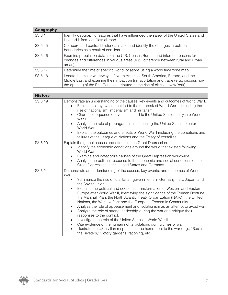| Geography |                                                                                                                                                                                                                                                     |
|-----------|-----------------------------------------------------------------------------------------------------------------------------------------------------------------------------------------------------------------------------------------------------|
| SS.6.14   | Identify geographic features that have influenced the safety of the United States and<br>isolated it from conflicts abroad.                                                                                                                         |
| SS.6.15   | Compare and contrast historical maps and identify the changes in political<br>boundaries as a result of conflicts.                                                                                                                                  |
| SS.6.16   | Examine population data from the U.S. Census Bureau and infer the reasons for<br>changes and differences in various areas (e.g., difference between rural and urban<br>areas).                                                                      |
| SS.6.17   | Determine the time of specific world locations using a world time zone map.                                                                                                                                                                         |
| SS.6.18   | Locate the major waterways of North America, South America, Europe, and the<br>Middle East and examine their impact on transportation and trade (e.g., discuss how<br>the opening of the Erie Canal contributed to the rise of cities in New York). |

| <b>History</b> |                                                                                                                                                                                                                                                                                                                                                                                                                                                                                                                                                                                                                                                                                                                                                                                                                                                                                                                                                                                                                                                                             |  |  |
|----------------|-----------------------------------------------------------------------------------------------------------------------------------------------------------------------------------------------------------------------------------------------------------------------------------------------------------------------------------------------------------------------------------------------------------------------------------------------------------------------------------------------------------------------------------------------------------------------------------------------------------------------------------------------------------------------------------------------------------------------------------------------------------------------------------------------------------------------------------------------------------------------------------------------------------------------------------------------------------------------------------------------------------------------------------------------------------------------------|--|--|
| SS.6.19        | Demonstrate an understanding of the causes, key events and outcomes of World War I.<br>Explain the key events that led to the outbreak of World War I, including the<br>rise of nationalism, imperialism and militarism.<br>Chart the sequence of events that led to the United States' entry into World<br>$\bullet$<br>War I.<br>Analyze the role of propaganda in influencing the United States to enter<br>World War I.<br>Explain the outcomes and effects of World War I including the conditions and<br>failures of the League of Nations and the Treaty of Versailles.                                                                                                                                                                                                                                                                                                                                                                                                                                                                                              |  |  |
| SS.6.20        | Explain the global causes and effects of the Great Depression.<br>Identify the economic conditions around the world that existed following<br>$\bullet$<br>World War I.<br>Examine and categorize causes of the Great Depression worldwide.<br>$\bullet$<br>Analyze the political response to the economic and social conditions of the<br>$\bullet$<br>Great Depression in the United States and Germany.                                                                                                                                                                                                                                                                                                                                                                                                                                                                                                                                                                                                                                                                  |  |  |
| SS.6.21        | Demonstrate an understanding of the causes, key events, and outcomes of World<br>War II.<br>Summarize the rise of totalitarian governments in Germany, Italy, Japan, and<br>$\bullet$<br>the Soviet Union.<br>Examine the political and economic transformation of Western and Eastern<br>$\bullet$<br>Europe after World War II, identifying the significance of the Truman Doctrine,<br>the Marshall Plan, the North Atlantic Treaty Organization (NATO), the United<br>Nations, the Warsaw Pact and the European Economic Community.<br>Analyze the role of appeasement and isolationism as an attempt to avoid war.<br>$\bullet$<br>Analyze the role of strong leadership during the war and critique their<br>$\bullet$<br>responses to the conflict.<br>Investigate the role of the United States in World War II.<br>$\bullet$<br>Cite evidence of the human rights violations during times of war.<br>$\bullet$<br>Illustrate the US civilian response on the home-front to the war (e.g., "Rosie<br>$\bullet$<br>the Riveters," victory gardens, rationing, etc.). |  |  |

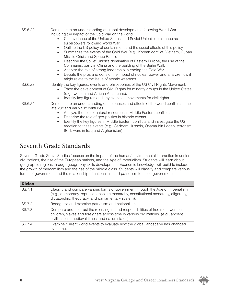| SS.6.22 | Demonstrate an understanding of global developments following World War II<br>including the impact of the Cold War on the world.                                                                                                      |
|---------|---------------------------------------------------------------------------------------------------------------------------------------------------------------------------------------------------------------------------------------|
|         | Cite evidence of the United States' and Soviet Union's dominance as<br>superpowers following World War II.                                                                                                                            |
|         | Outline the US policy of containment and the social effects of this policy.<br>Summarize the events of the Cold War (e.g., Korean conflict, Vietnam, Cuban<br>$\bullet$<br>Missile Crisis and Space Race).                            |
|         | Describe the Soviet Union's domination of Eastern Europe, the rise of the<br>$\bullet$<br>Communist party in China and the building of the Berlin Wall.<br>Analyze the role of strong leadership in ending the Cold War.<br>$\bullet$ |
|         | Debate the pros and cons of the impact of nuclear power and analyze how it<br>$\bullet$<br>might relate to the issue of atomic weapons.                                                                                               |
| SS.6.23 | Identify the key figures, events and philosophies of the US Civil Rights Movement.<br>Trace the development of Civil Rights for minority groups in the United States<br>(e.g., women and African Americans).                          |
|         | Identify key figures and key events in movements for civil rights.                                                                                                                                                                    |
| SS.6.24 | Demonstrate an understanding of the causes and effects of the world conflicts in the<br>late 20 <sup>th</sup> and early 21 <sup>st</sup> centuries.                                                                                   |
|         | Analyze the role of natural resources in Middle Eastern conflicts.<br>Describe the role of geo-politics in historic events.<br>$\bullet$                                                                                              |
|         | Identify the key figures in Middle Eastern conflicts and investigate the US<br>$\bullet$<br>reaction to these events (e.g., Saddam Hussein, Osama bin Laden, terrorism,<br>9/11, wars in Iraq and Afghanistan).                       |

### Seventh Grade Standards

Seventh Grade Social Studies focuses on the impact of the human/ environmental interaction in ancient civilizations, the rise of the European nations, and the Age of Imperialism. Students will learn about geographic regions through geography skills development. Economic knowledge will build to include the growth of mercantilism and the rise of the middle class. Students will classify and compare various forms of government and the relationship of nationalism and patriotism to those governments.

| <b>Civics</b> |                                                                                                                                                                                                                               |
|---------------|-------------------------------------------------------------------------------------------------------------------------------------------------------------------------------------------------------------------------------|
| SS.7.1        | Classify and compare various forms of government through the Age of Imperialism<br>(e.g., democracy, republic, absolute monarchy, constitutional monarchy, oligarchy,<br>dictatorship, theocracy, and parliamentary system).  |
| SS.7.2        | Recognize and examine patriotism and nationalism.                                                                                                                                                                             |
| SS.7.3        | Compare and contrast the roles, rights and responsibilities of free men, women,<br>children, slaves and foreigners across time in various civilizations. (e.g., ancient<br>civilizations, medieval times, and nation states). |
| SS 7.4        | Examine current world events to evaluate how the global landscape has changed<br>over time.                                                                                                                                   |

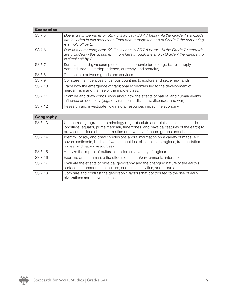| <b>Economics</b> |                                                                                                                                                                                                  |  |  |
|------------------|--------------------------------------------------------------------------------------------------------------------------------------------------------------------------------------------------|--|--|
| SS.7.5           | Due to a numbering error, SS.7.5 is actually SS.7.7 below. All the Grade 7 standards<br>are included in this document. From here through the end of Grade 7 the numbering<br>is simply off by 2. |  |  |
| SS.7.6           | Due to a numbering error, SS.7.6 is actually SS.7.8 below. All the Grade 7 standards<br>are included in this document. From here through the end of Grade 7 the numbering<br>is simply off by 2. |  |  |
| SS.7.7           | Summarize and give examples of basic economic terms (e.g., barter, supply,<br>demand, trade, interdependence, currency, and scarcity).                                                           |  |  |
| SS.7.8           | Differentiate between goods and services.                                                                                                                                                        |  |  |
| SS.7.9           | Compare the incentives of various countries to explore and settle new lands.                                                                                                                     |  |  |
| SS.7.10          | Trace how the emergence of traditional economies led to the development of<br>mercantilism and the rise of the middle class.                                                                     |  |  |
| SS.7.11          | Examine and draw conclusions about how the effects of natural and human events<br>influence an economy (e.g., environmental disasters, diseases, and war).                                       |  |  |
| SS.7.12          | Research and investigate how natural resources impact the economy.                                                                                                                               |  |  |
|                  |                                                                                                                                                                                                  |  |  |
| Geography        |                                                                                                                                                                                                  |  |  |

| ucuyi apily |                                                                                                                                                                                                                                                              |  |
|-------------|--------------------------------------------------------------------------------------------------------------------------------------------------------------------------------------------------------------------------------------------------------------|--|
| SS.7.13     | Use correct geographic terminology (e.g., absolute and relative location, latitude,<br>longitude, equator, prime meridian, time zones, and physical features of the earth) to<br>draw conclusions about information on a variety of maps, graphs and charts. |  |
| SS.7.14     | Identify, locate, and draw conclusions about information on a variety of maps (e.g.,<br>seven continents, bodies of water, countries, cities, climate regions, transportation<br>routes, and natural resources).                                             |  |
| SS.7.15     | Analyze the impact of cultural diffusion on a variety of regions.                                                                                                                                                                                            |  |
| SS.7.16     | Examine and summarize the effects of human/environmental interaction.                                                                                                                                                                                        |  |
| SS.7.17     | Evaluate the effects of physical geography and the changing nature of the earth's<br>surface on transportation, culture, economic activities, and urban areas.                                                                                               |  |
| SS.7.18     | Compare and contrast the geographic factors that contributed to the rise of early<br>civilizations and native cultures.                                                                                                                                      |  |

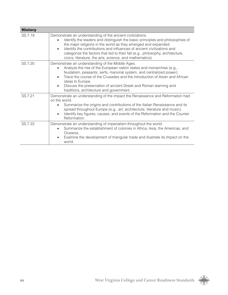| <b>History</b> |                                                                                                                                                                                                                                                                                                                                                                                                                                                                 |
|----------------|-----------------------------------------------------------------------------------------------------------------------------------------------------------------------------------------------------------------------------------------------------------------------------------------------------------------------------------------------------------------------------------------------------------------------------------------------------------------|
| SS.7.19        | Demonstrate an understanding of the ancient civilizations.<br>Identify the leaders and distinguish the basic principles and philosophies of<br>$\bullet$<br>the major religions in the world as they emerged and expanded.<br>Identify the contributions and influences of ancient civilizations and<br>$\bullet$<br>categorize the factors that led to their fall (e.g., philosophy, architecture,<br>civics, literature, the arts, science, and mathematics). |
| SS.7.20        | Demonstrate an understanding of the Middle Ages.<br>Analyze the rise of the European nation states and monarchies (e.g.,<br>$\bullet$<br>feudalism, peasants, serfs, manorial system, and centralized power).<br>Trace the course of the Crusades and the introduction of Asian and African<br>$\bullet$<br>ideas to Europe.<br>Discuss the preservation of ancient Greek and Roman learning and<br>$\bullet$<br>traditions, architecture and government.       |
| SS.7.21        | Demonstrate an understanding of the impact the Renaissance and Reformation had<br>on the world.<br>Summarize the origins and contributions of the Italian Renaissance and its<br>$\bullet$<br>spread throughout Europe (e.g., art, architecture, literature and music).<br>Identify key figures, causes, and events of the Reformation and the Counter<br>$\bullet$<br>Reformation.                                                                             |
| SS.7.22        | Demonstrate an understanding of imperialism throughout the world.<br>Summarize the establishment of colonies in Africa, Asia, the Americas, and<br>$\bullet$<br>Oceania.<br>Examine the development of triangular trade and illustrate its impact on the<br>$\bullet$<br>world.                                                                                                                                                                                 |

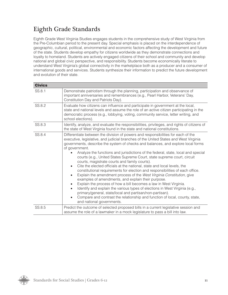### Eighth Grade Standards

Eighth Grade West Virginia Studies engages students in the comprehensive study of West Virginia from the Pre-Columbian period to the present day. Special emphasis is placed on the interdependence of geographic, cultural, political, environmental and economic factors affecting the development and future of the state. Students develop empathy for citizens worldwide as they demonstrate connections and loyalty to homeland. Students are actively engaged citizens of their school and community and develop national and global civic perspective, and responsibility. Students become economically literate to understand West Virginia's global connectivity in the marketplace both as a producer and a consumer of international goods and services. Students synthesize their information to predict the future development and evolution of their state.

| <b>Civics</b> |                                                                                                                                                                                                                                                                                                                                                                                                                                                                                                                                                                                                                                                                                                                                                                                                                                                                                                                                                                                                                                                                                                                                                                                         |  |
|---------------|-----------------------------------------------------------------------------------------------------------------------------------------------------------------------------------------------------------------------------------------------------------------------------------------------------------------------------------------------------------------------------------------------------------------------------------------------------------------------------------------------------------------------------------------------------------------------------------------------------------------------------------------------------------------------------------------------------------------------------------------------------------------------------------------------------------------------------------------------------------------------------------------------------------------------------------------------------------------------------------------------------------------------------------------------------------------------------------------------------------------------------------------------------------------------------------------|--|
| SS.8.1        | Demonstrate patriotism through the planning, participation and observance of<br>important anniversaries and remembrances (e.g., Pearl Harbor, Veterans' Day,<br>Constitution Day and Patriots Day).                                                                                                                                                                                                                                                                                                                                                                                                                                                                                                                                                                                                                                                                                                                                                                                                                                                                                                                                                                                     |  |
| SS.8.2        | Evaluate how citizens can influence and participate in government at the local,<br>state and national levels and assume the role of an active citizen participating in the<br>democratic process (e.g., lobbying, voting, community service, letter writing, and<br>school elections).                                                                                                                                                                                                                                                                                                                                                                                                                                                                                                                                                                                                                                                                                                                                                                                                                                                                                                  |  |
| SS.8.3        | Identify, analyze, and evaluate the responsibilities, privileges, and rights of citizens of<br>the state of West Virginia found in the state and national constitutions.                                                                                                                                                                                                                                                                                                                                                                                                                                                                                                                                                                                                                                                                                                                                                                                                                                                                                                                                                                                                                |  |
| SS.8.4        | Differentiate between the division of powers and responsibilities for each of the<br>executive, legislative, and judicial branches of the United States and West Virginia<br>governments, describe the system of checks and balances, and explore local forms<br>of government.<br>Analyze the functions and jurisdictions of the federal, state, local and special<br>courts (e.g., United States Supreme Court, state supreme court, circuit<br>courts, magistrate courts and family courts).<br>Cite the elected officials at the national, state and local levels, the<br>$\bullet$<br>constitutional requirements for election and responsibilities of each office.<br>Explain the amendment process of the West Virginia Constitution, give<br>$\bullet$<br>examples of amendments, and explain their purpose.<br>Explain the process of how a bill becomes a law in West Virginia.<br>$\bullet$<br>Identify and explain the various types of elections in West Virginia (e.g.,<br>$\bullet$<br>primary/general, state/local and partisan/non-partisan).<br>Compare and contrast the relationship and function of local, county, state,<br>$\bullet$<br>and national governments. |  |
| SS.8.5        | Predict the outcome of selected proposed bills in a current legislative session and<br>assume the role of a lawmaker in a mock legislature to pass a bill into law.                                                                                                                                                                                                                                                                                                                                                                                                                                                                                                                                                                                                                                                                                                                                                                                                                                                                                                                                                                                                                     |  |

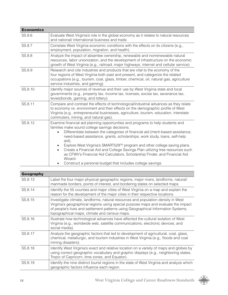| <b>Economics</b> |                                                                                                                                                                                                                                                                                                                                                                                                                                                                                                                                                                                                                                                         |
|------------------|---------------------------------------------------------------------------------------------------------------------------------------------------------------------------------------------------------------------------------------------------------------------------------------------------------------------------------------------------------------------------------------------------------------------------------------------------------------------------------------------------------------------------------------------------------------------------------------------------------------------------------------------------------|
| SS.8.6           | Evaluate West Virginia's role in the global economy as it relates to natural resources<br>and national/ international business and trade.                                                                                                                                                                                                                                                                                                                                                                                                                                                                                                               |
| SS.8.7           | Correlate West Virginia economic conditions with the effects on its citizens (e.g.,<br>employment, population, migration, and health).                                                                                                                                                                                                                                                                                                                                                                                                                                                                                                                  |
| SS.8.8           | Analyze the impact of absentee ownership, renewable and nonrenewable natural<br>resources, labor unionization, and the development of infrastructure on the economic<br>growth of West Virginia (e.g., railroad, major highways, internet and cellular service).                                                                                                                                                                                                                                                                                                                                                                                        |
| SS.8.9           | Research and cite industries and products that are vital to the economy of the<br>four regions of West Virginia both past and present, and categorize the related<br>occupations (e.g., tourism, coal, glass, timber, chemical, oil, natural gas, agriculture<br>service industries, and gaming).                                                                                                                                                                                                                                                                                                                                                       |
| SS.8.10          | Identify major sources of revenue and their use by West Virginia state and local<br>governments (e.g., property tax, income tax, licenses, excise tax, severance tax,<br>levies/bonds, gaming, and lottery).                                                                                                                                                                                                                                                                                                                                                                                                                                            |
| SS.8.11          | Compare and contrast the effects of technological/industrial advances as they relate<br>to economy vs. environment and their effects on the demographic profile of West<br>Virginia (e.g., entrepreneurial businesses, agriculture, tourism, education, interstate<br>commuters, mining, and natural gas).                                                                                                                                                                                                                                                                                                                                              |
| SS.8.12          | Examine financial aid planning opportunities and programs to help students and<br>families make sound college savings decisions.<br>Differentiate between the categories of financial aid (merit-based assistance,<br>$\bullet$<br>need-based assistance, grants, scholarships, work study, loans, self-help<br>aid).<br>Explore West Virginia's SMART529™ program and other college saving plans.<br>Create a Financial Aid and College Savings Plan utilizing free resources such<br>$\bullet$<br>as CFWV's Financial Aid Calculators, Scholarship Finder, and Financial Aid<br>Wizard.<br>Construct a personal budget that includes college savings. |

| <b>Geography</b> |                                                                                                                                                                                                                                                                                                             |
|------------------|-------------------------------------------------------------------------------------------------------------------------------------------------------------------------------------------------------------------------------------------------------------------------------------------------------------|
| SS.8.13          | Label the four major physical geographic regions, major rivers, landforms, natural/<br>manmade borders, points of interest, and bordering states on selected maps.                                                                                                                                          |
| SS.8.14          | Identify the 55 counties and major cities of West Virginia on a map and explain the<br>reason for the development of the major cities in their respective locations.                                                                                                                                        |
| SS.8.15          | Investigate climate, landforms, natural resources and population density in West<br>Virginia's geographical regions using special purpose maps and evaluate the impact<br>of people's lives and settlement patterns using Geographical Information Systems,<br>topographical maps, climate and census maps. |
| SS.8.16          | Illustrate how technological advances have affected the cultural isolation of West<br>Virginia (e.g., worldwide web, satellite communications, electronic devices, and<br>social media).                                                                                                                    |
| SS.8.17          | Analyze the geographic factors that led to development of agricultural, coal, glass,<br>chemical, metallurgic, and tourism industries in West Virginia (e.g., floods and coal<br>mining disasters).                                                                                                         |
| SS.8.18          | Identify West Virginia's exact and relative location on a variety of maps and globes by<br>using correct geographic vocabulary and graphic displays (e.g., neighboring states,<br>Tropic of Capricorn, time zones, and Equator).                                                                            |
| SS.8.19          | Identify the nine distinct tourist regions in the state of West Virginia and analyze which<br>geographic factors influence each region.                                                                                                                                                                     |

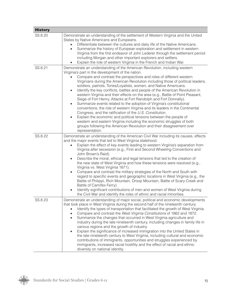| <b>History</b> |                                                                                                                                                                                                                                                                                                                                                                                                                                                                                                                                                                                                                                                                                                                                                                                                                                                                                                                                                                                                                                                                                                               |
|----------------|---------------------------------------------------------------------------------------------------------------------------------------------------------------------------------------------------------------------------------------------------------------------------------------------------------------------------------------------------------------------------------------------------------------------------------------------------------------------------------------------------------------------------------------------------------------------------------------------------------------------------------------------------------------------------------------------------------------------------------------------------------------------------------------------------------------------------------------------------------------------------------------------------------------------------------------------------------------------------------------------------------------------------------------------------------------------------------------------------------------|
| SS.8.20        | Demonstrate an understanding of the settlement of Western Virginia and the United<br>States by Native Americans and Europeans.<br>Differentiate between the cultures and daily life of the Native Americans.<br>Summarize the history of European exploration and settlement in western<br>$\bullet$<br>Virginia from the first endeavor of John Lederer through the settlement period<br>including Morgan and other important explorers and settlers.<br>Explain the role of western Virginia in the French and Indian War.                                                                                                                                                                                                                                                                                                                                                                                                                                                                                                                                                                                  |
| SS.8.21        | Demonstrate an understanding of the American Revolution, including western<br>Virginia's part in the development of the nation.<br>Compare and contrast the perspectives and roles of different western<br>Virginians during the American Revolution including those of political leaders,<br>soldiers, patriots, Tories/Loyalists, women, and Native Americans.<br>Identify the key conflicts, battles and people of the American Revolution in<br>$\bullet$<br>western Virginia and their effects on the area (e.g., Battle of Point Pleasant,<br>Siege of Fort Henry, Attacks at Fort Randolph and Fort Donnally).<br>Summarize events related to the adoption of Virginia's constitutional<br>$\bullet$<br>conventions, the role of western Virginia and its leaders in the Continental<br>Congress, and the ratification of the U.S. Constitution.<br>Explain the economic and political tensions between the people of<br>$\bullet$<br>western and eastern Virginia including the economic struggles of both<br>groups following the American Revolution and their disagreement over<br>representation. |
| SS.8.22        | Demonstrate an understanding of the American Civil War including its causes, effects<br>and the major events that led to West Virginia statehood.<br>Explain the effect of key events leading to western Virginia's separation from<br>Virginia after secession (e.g., First and Second Wheeling Conventions and<br>John Brown's Raid).<br>Describe the moral, ethical and legal tensions that led to the creation of<br>$\bullet$<br>the new state of West Virginia and how these tensions were resolved (e.g.,<br>Virginia vs. West Virginia 1871).<br>Compare and contrast the military strategies of the North and South with<br>regard to specific events and geographic locations in West Virginia (e.g., the<br>Battle of Philippi, Rich Mountain, Droop Mountain, Battle of Scary Creek and<br>Battle of Carnifex Ferry).<br>Identify significant contributions of men and women of West Virginia during<br>the Civil War and identify the roles of ethnic and racial minorities.                                                                                                                     |
| SS.8.23        | Demonstrate an understanding of major social, political and economic developments<br>that took place in West Virginia during the second half of the nineteenth century.<br>Identify the types of transportation that facilitated the growth of West Virginia.<br>Compare and contrast the West Virginia Constitutions of 1862 and 1872.<br>$\bullet$<br>Summarize the changes that occurred in West Virginia agriculture and<br>$\bullet$<br>industry during the late nineteenth century, including changes in family life in<br>various regions and the growth of industry.<br>Explain the significance of increased immigration into the United States in<br>$\bullet$<br>the late nineteenth century to West Virginia, including cultural and economic<br>contributions of immigrants, opportunities and struggles experienced by<br>immigrants, increased racial hostility and the effect of racial and ethnic<br>diversity on national identity.                                                                                                                                                         |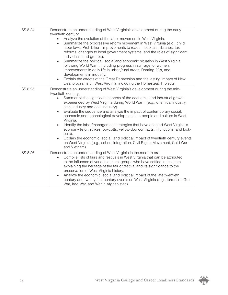| SS.8.24 | Demonstrate an understanding of West Virginia's development during the early<br>twentieth century.<br>Analyze the evolution of the labor movement in West Virginia.<br>$\bullet$<br>Summarize the progressive reform movement in West Virginia (e.g., child<br>$\bullet$<br>labor laws, Prohibition, improvements to roads, hospitals, libraries, tax<br>reforms, changes to local government systems, and the roles of significant<br>individuals and groups).<br>Summarize the political, social and economic situation in West Virginia<br>$\bullet$<br>following World War I, including progress in suffrage for women,<br>improvements in daily life in urban/rural areas, Roaring 20's, and<br>developments in industry.<br>Explain the effects of the Great Depression and the lasting impact of New<br>$\bullet$<br>Deal programs on West Virginia, including the Homestead Projects. |
|---------|-----------------------------------------------------------------------------------------------------------------------------------------------------------------------------------------------------------------------------------------------------------------------------------------------------------------------------------------------------------------------------------------------------------------------------------------------------------------------------------------------------------------------------------------------------------------------------------------------------------------------------------------------------------------------------------------------------------------------------------------------------------------------------------------------------------------------------------------------------------------------------------------------|
| SS.8.25 | Demonstrate an understanding of West Virginia's development during the mid-<br>twentieth century.<br>Summarize the significant aspects of the economic and industrial growth<br>$\bullet$<br>experienced by West Virginia during World War II (e.g., chemical industry,<br>steel industry and coal industry).<br>Evaluate the sequence and analyze the impact of contemporary social,<br>$\bullet$<br>economic and technological developments on people and culture in West<br>Virginia.<br>Identify the labor/management strategies that have affected West Virginia's<br>$\bullet$<br>economy (e.g., strikes, boycotts, yellow-dog contracts, injunctions, and lock-<br>outs).<br>Explain the economic, social, and political impact of twentieth century events<br>$\bullet$<br>on West Virginia (e.g., school integration, Civil Rights Movement, Cold War<br>and Vietnam).               |
| SS.8.26 | Demonstrate an understanding of West Virginia in the modern era.<br>Compile lists of fairs and festivals in West Virginia that can be attributed<br>$\bullet$<br>to the influence of various cultural groups who have settled in the state,<br>explaining the heritage of the fair or festival and its significance to the<br>preservation of West Virginia history.<br>Analyze the economic, social and political impact of the late twentieth<br>$\bullet$<br>century and twenty-first century events on West Virginia (e.g., terrorism, Gulf<br>War, Iraq War, and War in Afghanistan).                                                                                                                                                                                                                                                                                                    |

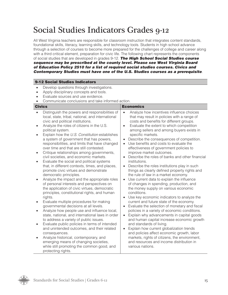## Social Studies Indicators Grades 9-12

All West Virginia teachers are responsible for classroom instruction that integrates content standards, foundational skills, literacy, learning skills, and technology tools. Students in high school advance through a selection of courses to become more prepared for the challenges of college and career along with a third critical element, preparation for civic life. The following chart represents the components of social studies that are developed in grades 9-12. *The High School Social Studies course sequence may be prescribed at the county level. Please see West Virginia Board of Education Policy 2510 for a list of required social studies courses. Civics and Contemporary Studies must have one of the U.S. Studies courses as a prerequisite.*

#### 9-12 Social Studies Indicators

- Develop questions through investigations.
- Apply disciplinary concepts and tools.
- Evaluate sources and use evidence.
- Communicate conclusions and take informed action.

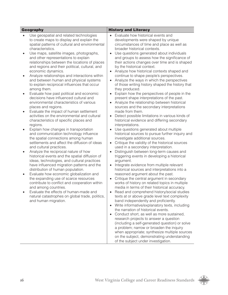| <b>Geography</b>                                                                                                                                                                                                                                                                                                                                                                                                                                                                                                                                                                                                                                                                                                                                                                                                                                                                                                                                                                                                                                                                                                                                                                                                                                                                                                                                                                                                                                                                                                                                                                                                                                                       | <b>History and Literacy</b>                                                                                                                                                                                                                                                                                                                                                                                                                                                                                                                                                                                                                                                                                                                                                                                                                                                                                                                                                                                                                                                                                                                                                                                                                                                                                                                                                                                                                                                                                                                                                                                                                                                                                                                                                                                                                                                                                                                                                                                                                                                                                                                                                                                                                      |
|------------------------------------------------------------------------------------------------------------------------------------------------------------------------------------------------------------------------------------------------------------------------------------------------------------------------------------------------------------------------------------------------------------------------------------------------------------------------------------------------------------------------------------------------------------------------------------------------------------------------------------------------------------------------------------------------------------------------------------------------------------------------------------------------------------------------------------------------------------------------------------------------------------------------------------------------------------------------------------------------------------------------------------------------------------------------------------------------------------------------------------------------------------------------------------------------------------------------------------------------------------------------------------------------------------------------------------------------------------------------------------------------------------------------------------------------------------------------------------------------------------------------------------------------------------------------------------------------------------------------------------------------------------------------|--------------------------------------------------------------------------------------------------------------------------------------------------------------------------------------------------------------------------------------------------------------------------------------------------------------------------------------------------------------------------------------------------------------------------------------------------------------------------------------------------------------------------------------------------------------------------------------------------------------------------------------------------------------------------------------------------------------------------------------------------------------------------------------------------------------------------------------------------------------------------------------------------------------------------------------------------------------------------------------------------------------------------------------------------------------------------------------------------------------------------------------------------------------------------------------------------------------------------------------------------------------------------------------------------------------------------------------------------------------------------------------------------------------------------------------------------------------------------------------------------------------------------------------------------------------------------------------------------------------------------------------------------------------------------------------------------------------------------------------------------------------------------------------------------------------------------------------------------------------------------------------------------------------------------------------------------------------------------------------------------------------------------------------------------------------------------------------------------------------------------------------------------------------------------------------------------------------------------------------------------|
| Use geospatial and related technologies<br>$\bullet$<br>to create maps to display and explain the<br>spatial patterns of cultural and environmental<br>characteristics.<br>Use maps, satellite images, photographs,<br>$\bullet$<br>and other representations to explain<br>relationships between the locations of places<br>and regions and their political, cultural, and<br>economic dynamics.<br>Analyze relationships and interactions within<br>$\bullet$<br>and between human and physical systems<br>to explain reciprocal influences that occur<br>among them.<br>Evaluate how past political and economic<br>$\bullet$<br>decisions have influenced cultural and<br>environmental characteristics of various<br>places and regions.<br>Evaluate the impact of human settlement<br>$\bullet$<br>activities on the environmental and cultural<br>characteristics of specific places and<br>regions.<br>Explain how changes in transportation<br>$\bullet$<br>and communication technology influence<br>the spatial connections among human<br>settlements and affect the diffusion of ideas<br>and cultural practices.<br>Analyze the reciprocal nature of how<br>$\bullet$<br>historical events and the spatial diffusion of<br>ideas, technologies, and cultural practices<br>have influenced migration patterns and the<br>distribution of human population.<br>Evaluate how economic globalization and<br>$\bullet$<br>the expanding use of scarce resources<br>contribute to conflict and cooperation within<br>and among countries.<br>Evaluate the effects of human-made and<br>natural catastrophes on global trade, politics,<br>and human migration. | Evaluate how historical events and<br>developments were shaped by unique<br>circumstances of time and place as well as<br>broader historical contexts.<br>Use questions generated about individuals<br>$\bullet$<br>and groups to assess how the significance of<br>their actions changes over time and is shaped<br>by the historical context.<br>Analyze how historical contexts shaped and<br>$\bullet$<br>continue to shape people's perspectives.<br>Analyze the ways in which the perspectives<br>$\bullet$<br>of those writing history shaped the history that<br>they produced.<br>Explain how the perspectives of people in the<br>$\bullet$<br>present shape interpretations of the past.<br>Analyze the relationship between historical<br>$\bullet$<br>sources and the secondary interpretations<br>made from them.<br>Detect possible limitations in various kinds of<br>$\bullet$<br>historical evidence and differing secondary<br>interpretations.<br>Use questions generated about multiple<br>$\bullet$<br>historical sources to pursue further inquiry and<br>investigate additional sources.<br>Critique the validity of the historical sources<br>$\bullet$<br>used in a secondary interpretation.<br>Distinguish between long-term causes and<br>$\bullet$<br>triggering events in developing a historical<br>argument.<br>Integrate evidence from multiple relevant<br>$\bullet$<br>historical sources and interpretations into a<br>reasoned argument about the past.<br>Critique the central argument in secondary<br>$\bullet$<br>works of history on related topics in multiple<br>media in terms of their historical accuracy.<br>Read and comprehend history/social studies<br>$\bullet$<br>texts at or above grade level text complexity<br>band independently and proficiently.<br>Write informative/explanatory texts, including<br>$\bullet$<br>the narration of historical events.<br>Conduct short, as well as more sustained,<br>research projects to answer a question<br>(including a self-generated question) or solve<br>a problem; narrow or broaden the inquiry<br>when appropriate; synthesize multiple sources<br>on the subject, demonstrating understanding<br>of the subject under investigation. |

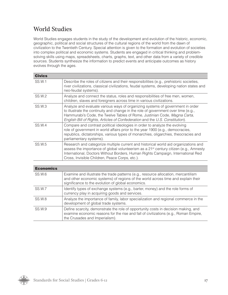### World Studies

World Studies engages students in the study of the development and evolution of the historic, economic, geographic, political and social structures of the cultural regions of the world from the dawn of civilization to the Twentieth Century. Special attention is given to the formation and evolution of societies into complex political and economic systems. Students are engaged in critical thinking and problemsolving skills using maps, spreadsheets, charts, graphs, text, and other data from a variety of credible sources. Students synthesize the information to predict events and anticipate outcomes as history evolves through the ages.

| <b>Civics</b> |                                                                                                                                                                                                                                                                                                                                    |
|---------------|------------------------------------------------------------------------------------------------------------------------------------------------------------------------------------------------------------------------------------------------------------------------------------------------------------------------------------|
| <b>SS.W.1</b> | Describe the roles of citizens and their responsibilities (e.g., prehistoric societies,<br>river civilizations, classical civilizations, feudal systems, developing nation states and<br>neo-feudal systems).                                                                                                                      |
| SS.W.2        | Analyze and connect the status, roles and responsibilities of free men, women,<br>children, slaves and foreigners across time in various civilizations.                                                                                                                                                                            |
| <b>SS.W.3</b> | Analyze and evaluate various ways of organizing systems of government in order<br>to illustrate the continuity and change in the role of government over time (e.g.,<br>Hammurabi's Code, the Twelve Tables of Rome, Justinian Code, Magna Carta,<br>English Bill of Rights, Articles of Confederation and the U.S. Constitution). |
| SS.W.4        | Compare and contrast political ideologies in order to analyze the evolving<br>role of government in world affairs prior to the year 1900 (e.g., democracies,<br>republics, dictatorships, various types of monarchies, oligarchies, theocracies and<br>parliamentary systems).                                                     |
| SS.W.5        | Research and categorize multiple current and historical world aid organizations and<br>assess the importance of global volunteerism as a 21 <sup>st</sup> century citizen (e.g., Amnesty<br>International, Doctors Without Borders, Human Rights Campaign, International Red<br>Cross, Invisible Children, Peace Corps, etc.).     |

| <b>Economics</b> |                                                                                                                                                                                                                               |
|------------------|-------------------------------------------------------------------------------------------------------------------------------------------------------------------------------------------------------------------------------|
| <b>SS.W.6</b>    | Examine and illustrate the trade patterns (e.g., resource allocation, mercantilism<br>and other economic systems) of regions of the world across time and explain their<br>significance to the evolution of global economics. |
| SS.W.7           | Identify types of exchange systems (e.g., barter, money) and the role forms of<br>currency play in acquiring goods and services.                                                                                              |
| <b>SS.W.8</b>    | Analyze the importance of family, labor specialization and regional commerce in the<br>development of global trade systems.                                                                                                   |
| SS.W.9           | Define scarcity, demonstrate the role of opportunity costs in decision making, and<br>examine economic reasons for the rise and fall of civilizations (e.g., Roman Empire,<br>the Crusades and Imperialism).                  |

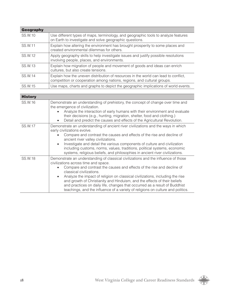| <b>Geography</b> |                                                                                                                                                                |
|------------------|----------------------------------------------------------------------------------------------------------------------------------------------------------------|
| SS.W.10          | Use different types of maps, terminology, and geographic tools to analyze features<br>on Earth to investigate and solve geographic questions.                  |
| SS.W.11          | Explain how altering the environment has brought prosperity to some places and<br>created environmental dilemmas for others.                                   |
| SS.W.12          | Apply geography skills to help investigate issues and justify possible resolutions<br>involving people, places, and environments.                              |
| SS.W.13          | Explain how migration of people and movement of goods and ideas can enrich<br>cultures, but also create tensions.                                              |
| SS.W.14          | Explain how the uneven distribution of resources in the world can lead to conflict,<br>competition or cooperation among nations, regions, and cultural groups. |
| SS W 15          | Use maps, charts and graphs to depict the geographic implications of world events.                                                                             |

| <b>History</b> |                                                                                                                                                                                                                                                                                                                                                                                                                                                                                                                                                                              |
|----------------|------------------------------------------------------------------------------------------------------------------------------------------------------------------------------------------------------------------------------------------------------------------------------------------------------------------------------------------------------------------------------------------------------------------------------------------------------------------------------------------------------------------------------------------------------------------------------|
| SS.W.16        | Demonstrate an understanding of prehistory, the concept of change over time and<br>the emergence of civilization.<br>Analyze the interaction of early humans with their environment and evaluate<br>their decisions (e.g., hunting, migration, shelter, food and clothing.)<br>Detail and predict the causes and effects of the Agricultural Revolution.                                                                                                                                                                                                                     |
| SS.W.17        | Demonstrate an understanding of ancient river civilizations and the ways in which<br>early civilizations evolve.<br>Compare and contrast the causes and effects of the rise and decline of<br>ancient river valley civilizations.<br>Investigate and detail the various components of culture and civilization<br>$\bullet$<br>including customs, norms, values, traditions, political systems, economic<br>systems, religious beliefs, and philosophies in ancient river civilizations.                                                                                     |
| SS.W.18        | Demonstrate an understanding of classical civilizations and the influence of those<br>civilizations across time and space.<br>Compare and contrast the causes and effects of the rise and decline of<br>classical civilizations.<br>Analyze the impact of religion on classical civilizations, including the rise<br>$\bullet$<br>and growth of Christianity and Hinduism, and the effects of their beliefs<br>and practices on daily life, changes that occurred as a result of Buddhist<br>teachings, and the influence of a variety of religions on culture and politics. |

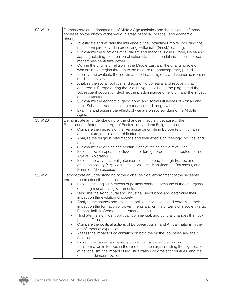| SS.W.19 | Demonstrate an understanding of Middle Age societies and the influence of those<br>societies on the history of the world in areas of social, political, and economic<br>change.<br>Investigate and explain the influence of the Byzantine Empire, including the<br>$\bullet$<br>role the Empire played in preserving Hellenistic (Greek) learning.<br>Summarize the functions of feudalism and manorialism in Europe, China and<br>$\bullet$<br>Japan (including the creation of nation-states) as feudal institutions helped<br>monarchies centralize power.<br>Outline the origins of religion in the Middle East and the changing role of<br>$\bullet$<br>women in that region through to the modern (or contemporary) period.<br>Identify and evaluate the individual, political, religious, and economic roles in<br>$\bullet$<br>medieval society.<br>Analyze the social, political and economic upheaval and recovery that<br>$\bullet$<br>occurred in Europe during the Middle Ages, including the plague and the<br>subsequent population decline, the predominance of religion, and the impact<br>of the crusades.<br>Summarize the economic, geographic and social influences of African and<br>$\bullet$<br>trans-Saharan trade, including education and the growth of cities.<br>Examine and assess the effects of warfare on society during the Middle<br>$\bullet$<br>Ages. |
|---------|--------------------------------------------------------------------------------------------------------------------------------------------------------------------------------------------------------------------------------------------------------------------------------------------------------------------------------------------------------------------------------------------------------------------------------------------------------------------------------------------------------------------------------------------------------------------------------------------------------------------------------------------------------------------------------------------------------------------------------------------------------------------------------------------------------------------------------------------------------------------------------------------------------------------------------------------------------------------------------------------------------------------------------------------------------------------------------------------------------------------------------------------------------------------------------------------------------------------------------------------------------------------------------------------------------------------------------------------------------------------------------------------|
| SS.W.20 | Demonstrate an understanding of the changes in society because of the<br>Renaissance, Reformation, Age of Exploration, and the Enlightenment.<br>Compare the impacts of the Renaissance on life in Europe (e.g., Humanism,<br>$\bullet$<br>art, literature, music and architecture).<br>Analyze the religious reformations and their effects on theology, politics, and<br>$\bullet$<br>economics.<br>Summarize the origins and contributions of the scientific revolution.<br>Explain how European needs/wants for foreign products contributed to the<br>$\bullet$<br>Age of Exploration.<br>Explain the ways that Enlightenment ideas spread through Europe and their<br>$\bullet$<br>effect on society (e.g., John Locke, Voltaire, Jean-Jacques Rousseau, and<br>Baron de Montesquieu.)                                                                                                                                                                                                                                                                                                                                                                                                                                                                                                                                                                                               |
| SS.W.21 | Demonstrate an understanding of the global political environment of the sixteenth<br>through the nineteenth centuries.<br>Explain the long-term effects of political changes because of the emergence<br>$\bullet$<br>of strong monarchial governments.<br>Describe the Agricultural and Industrial Revolutions and determine their<br>$\bullet$<br>impact on the evolution of society.<br>Analyze the causes and effects of political revolutions and determine their<br>$\bullet$<br>impact on the formation of governments and on the citizens of a society (e.g.,<br>French, Italian, German, Latin America, etc.).<br>Illustrate the significant political, commercial, and cultural changes that took<br>$\bullet$<br>place in China.<br>Compare the political actions of European, Asian and African nations in the<br>$\bullet$<br>era of imperial expansion.<br>Assess the impact of colonization on both the mother countries and their<br>$\bullet$<br>colonies.<br>Explain the causes and effects of political, social and economic<br>$\bullet$<br>transformation in Europe in the nineteenth century, including the significance<br>of nationalism, the impact of industrialization on different countries, and the<br>effects of democratization.                                                                                                                           |

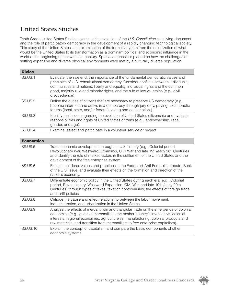### United States Studies

Tenth Grade United States Studies examines the evolution of the *U.S. Constitution* as a living document and the role of participatory democracy in the development of a rapidly changing technological society. This study of the United States is an examination of the formative years from the colonization of what would be the United States to its transformation as a dominant political and economic influence in the world at the beginning of the twentieth century. Special emphasis is placed on how the challenges of settling expansive and diverse physical environments were met by a culturally diverse population.

| <b>Civics</b> |                                                                                                                                                                                                                                                                                                                                                                     |
|---------------|---------------------------------------------------------------------------------------------------------------------------------------------------------------------------------------------------------------------------------------------------------------------------------------------------------------------------------------------------------------------|
| SS.US.1       | Evaluate, then defend, the importance of the fundamental democratic values and<br>principles of U.S. constitutional democracy. Consider conflicts between individuals,<br>communities and nations, liberty and equality, individual rights and the common<br>good, majority rule and minority rights, and the rule of law vs. ethics (e.g., civil<br>disobedience). |
| SS.US.2       | Define the duties of citizens that are necessary to preserve US democracy (e.g.,<br>become informed and active in a democracy-through jury duty, paying taxes, public<br>forums (local, state, and/or federal), voting and conscription.).                                                                                                                          |
| SS.US.3       | Identify the issues regarding the evolution of United States citizenship and evaluate<br>responsibilities and rights of United States citizens (e.g., landownership, race,<br>gender, and age).                                                                                                                                                                     |
| SS.US.4       | Examine, select and participate in a volunteer service or project.                                                                                                                                                                                                                                                                                                  |

| <b>Economics</b> |                                                                                                                                                                                                                                                                                                                                                        |
|------------------|--------------------------------------------------------------------------------------------------------------------------------------------------------------------------------------------------------------------------------------------------------------------------------------------------------------------------------------------------------|
| SS.US.5          | Trace economic development throughout U.S. history (e.g., Colonial period,<br>Revolutionary War, Westward Expansion, Civil War and late 19 <sup>th</sup> /early 20 <sup>th</sup> Centuries)<br>and identify the role of market factors in the settlement of the United States and the<br>development of the free enterprise system.                    |
| SS.US.6          | Explain the ideas, values and practices in the Federalist-Anti-Federalist debate, Bank<br>of the U.S. issue, and evaluate their effects on the formation and direction of the<br>nation's economy.                                                                                                                                                     |
| SS.US.7          | Differentiate economic policy in the United States during each era (e.g., Colonial<br>period, Revolutionary, Westward Expansion, Civil War, and late 19th /early 20th<br>Centuries) through types of taxes, taxation controversies, the effects of foreign trade<br>and tariff policies.                                                               |
| SS.US.8          | Critique the cause and effect relationship between the labor movement,<br>industrialization, and urbanization in the United States.                                                                                                                                                                                                                    |
| SS.US.9          | Analyze the effects of mercantilism and triangular trade on the emergence of colonial<br>economies (e.g., goals of mercantilism, the mother country's interests vs. colonial<br>interests, regional economies, agriculture vs. manufacturing, colonial products and<br>raw materials, and transition from mercantilism to free enterprise capitalism). |
| <b>SS.US.10</b>  | Explain the concept of capitalism and compare the basic components of other<br>economic systems.                                                                                                                                                                                                                                                       |

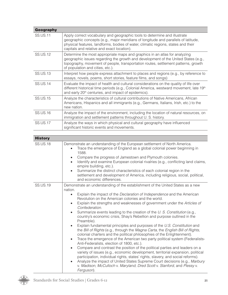| <b>Geography</b> |                                                                                                                                                                                                                                                                                                    |
|------------------|----------------------------------------------------------------------------------------------------------------------------------------------------------------------------------------------------------------------------------------------------------------------------------------------------|
| <b>SS.US.11</b>  | Apply correct vocabulary and geographic tools to determine and illustrate<br>geographic concepts (e.g., major meridians of longitude and parallels of latitude,<br>physical features, landforms, bodies of water, climatic regions, states and their<br>capitals and relative and exact location). |
| <b>SS.US.12</b>  | Determine the most appropriate maps and graphics in an atlas for analyzing<br>geographic issues regarding the growth and development of the United States (e.g.,<br>topography, movement of people, transportation routes, settlement patterns, growth<br>of population and cities, etc.).         |
| <b>SS.US.13</b>  | Interpret how people express attachment to places and regions (e.g., by reference to<br>essays, novels, poems, short stories, feature films, and songs)                                                                                                                                            |
| <b>SS.US.14</b>  | Evaluate the impact of health and cultural considerations on the quality of life over<br>different historical time periods (e.g., Colonial America, westward movement, late 19 <sup>th</sup><br>and early 20 <sup>th</sup> centuries, and impact of epidemics).                                    |
| <b>SS.US.15</b>  | Analyze the characteristics of cultural contributions of Native Americans, African<br>Americans, Hispanics and all immigrants (e.g., Germans, Italians, Irish, etc.) to the<br>new nation.                                                                                                         |
| SS.US.16         | Analyze the impact of the environment, including the location of natural resources, on<br>immigration and settlement patterns throughout U. S. history.                                                                                                                                            |
| <b>SS.US.17</b>  | Analyze the ways in which physical and cultural geography have influenced<br>significant historic events and movements.                                                                                                                                                                            |

| <b>History</b>  |                                                                                                                                                                                                                                                                                                                                                                                                                                                                                                                                                                                                                                                                                                                                                                                                                                                                                                                                                                                                                                                                                                                                                                                                                                                                                                                                                                                 |
|-----------------|---------------------------------------------------------------------------------------------------------------------------------------------------------------------------------------------------------------------------------------------------------------------------------------------------------------------------------------------------------------------------------------------------------------------------------------------------------------------------------------------------------------------------------------------------------------------------------------------------------------------------------------------------------------------------------------------------------------------------------------------------------------------------------------------------------------------------------------------------------------------------------------------------------------------------------------------------------------------------------------------------------------------------------------------------------------------------------------------------------------------------------------------------------------------------------------------------------------------------------------------------------------------------------------------------------------------------------------------------------------------------------|
| <b>SS.US.18</b> | Demonstrate an understanding of the European settlement of North America.<br>Trace the emergence of England as a global colonial power beginning in<br>1588.<br>Compare the progress of Jamestown and Plymouth colonies.<br>Identify and examine European colonial rivalries (e.g., conflicting land claims,<br>$\bullet$<br>empire building, etc.).<br>Summarize the distinct characteristics of each colonial region in the<br>$\bullet$<br>settlement and development of America, including religious, social, political,<br>and economic differences.                                                                                                                                                                                                                                                                                                                                                                                                                                                                                                                                                                                                                                                                                                                                                                                                                       |
| <b>SS.US.19</b> | Demonstrate an understanding of the establishment of the United States as a new<br>nation.<br>Explain the impact of the Declaration of Independence and the American<br>$\bullet$<br>Revolution on the American colonies and the world.<br>Explain the strengths and weaknesses of government under the Articles of<br>$\bullet$<br>Confederation.<br>Summarize events leading to the creation of the U.S. Constitution (e.g.,<br>$\bullet$<br>country's economic crisis, Shay's Rebellion and purpose outlined in the<br>Preamble).<br>Explain fundamental principles and purposes of the U.S. Constitution and<br>$\bullet$<br>the Bill of Rights (e.g., through the Magna Carta, the English Bill of Rights,<br>colonial charters and the political philosophies of the Enlightenment).<br>Trace the emergence of the American two party political system (Federalists-<br>$\bullet$<br>Anti-Federalists, election of 1800, etc.).<br>Compare and contrast the position of the political parties and leaders on a<br>$\bullet$<br>variety of issues (e.g., economic development, territorial expansion, political<br>participation, individual rights, states' rights, slavery, and social reforms).<br>Analyze the impact of United States Supreme Court decisions (e.g., Marbury<br>v. Madison, McCulloch v. Maryland, Dred Scott v. Stanford, and Plessy v.<br>Ferguson). |

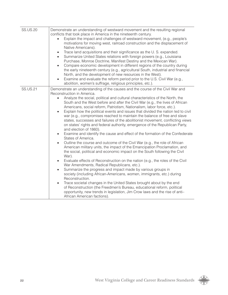| <b>SS.US.20</b> | Demonstrate an understanding of westward movement and the resulting regional<br>conflicts that took place in America in the nineteenth century.<br>Explain the impact and challenges of westward movement, (e.g., people's<br>motivations for moving west, railroad construction and the displacement of<br>Native Americans).<br>Trace land acquisitions and their significance as the U.S. expanded.<br>$\bullet$<br>Summarize United States relations with foreign powers (e.g., Louisiana<br>$\bullet$<br>Purchase, Monroe Doctrine, Manifest Destiny and the Mexican War).<br>Compare economic development in different regions of the country during<br>$\bullet$<br>the early nineteenth century (e.g., agricultural South, industrial and financial<br>North, and the development of new resources in the West).<br>Examine and evaluate the reform period prior to the U.S. Civil War (e.g.,<br>$\bullet$<br>abolition, women's suffrage, religious principles, etc.).                                                                                                                                                                                                                                                                                                                                                                                                                                                                                                                                                                                                                                                                                                                                                     |
|-----------------|-------------------------------------------------------------------------------------------------------------------------------------------------------------------------------------------------------------------------------------------------------------------------------------------------------------------------------------------------------------------------------------------------------------------------------------------------------------------------------------------------------------------------------------------------------------------------------------------------------------------------------------------------------------------------------------------------------------------------------------------------------------------------------------------------------------------------------------------------------------------------------------------------------------------------------------------------------------------------------------------------------------------------------------------------------------------------------------------------------------------------------------------------------------------------------------------------------------------------------------------------------------------------------------------------------------------------------------------------------------------------------------------------------------------------------------------------------------------------------------------------------------------------------------------------------------------------------------------------------------------------------------------------------------------------------------------------------------------------------------|
| <b>SS.US.21</b> | Demonstrate an understanding of the causes and the course of the Civil War and<br>Reconstruction in America.<br>Analyze the social, political and cultural characteristics of the North, the<br>$\bullet$<br>South and the West before and after the Civil War (e.g., the lives of African<br>Americans, social reform, Patriotism, Nationalism, labor force, etc.).<br>Explain how the political events and issues that divided the nation led to civil<br>$\bullet$<br>war (e.g., compromises reached to maintain the balance of free and slave<br>states, successes and failures of the abolitionist movement, conflicting views<br>on states' rights and federal authority, emergence of the Republican Party,<br>and election of 1860).<br>Examine and identify the cause and effect of the formation of the Confederate<br>$\bullet$<br>States of America.<br>Outline the course and outcome of the Civil War (e.g., the role of African<br>$\bullet$<br>American military units, the impact of the Emancipation Proclamation, and<br>the social, political and economic impact on the South following the Civil<br>War).<br>Evaluate effects of Reconstruction on the nation (e.g., the roles of the Civil<br>$\bullet$<br>War Amendments, Radical Republicans, etc.).<br>Summarize the progress and impact made by various groups in<br>$\bullet$<br>society (including African-Americans, women, immigrants, etc.) during<br>Reconstruction.<br>Trace societal changes in the United States brought about by the end<br>$\bullet$<br>of Reconstruction (the Freedmen's Bureau, educational reform, political<br>opportunity, new trends in legislation, Jim Crow laws and the rise of anti-<br>African American factions). |

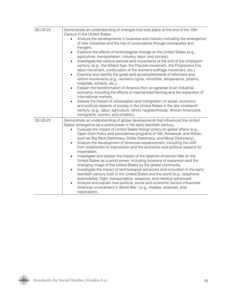| <b>SS.US.22</b> | Demonstrate an understanding of changes that took place at the end of the 19th<br>Century in the United States.<br>Analyze the developments in business and industry including the emergence<br>$\bullet$<br>of new industries and the rise of corporations through monopolies and<br>mergers.<br>Examine the effects of technological change on the United States (e.g.,<br>$\bullet$<br>agriculture, transportation, industry, labor, and society).<br>Investigate the various periods and movements at the end of the nineteenth<br>$\bullet$<br>century. (e.g., the Gilded Age, the Populist movement, the Progressive Era,<br>labor movement, continuation of the women's suffrage movement, etc.).<br>Examine and identify the goals and accomplishments of reformers and<br>$\bullet$<br>reform movements (e.g., women's rights, minorities, temperance, prisons,<br>hospitals, schools, etc.).<br>Explain the transformation of America from an agrarian to an industrial<br>$\bullet$<br>economy, including the effects of mechanized farming and the expansion of<br>international markets.<br>Assess the impact of urbanization and immigration on social, economic<br>$\bullet$<br>and political aspects of society in the United States in the late nineteenth<br>century. (e.g., labor, agriculture, ethnic neighborhoods, African Americans,<br>immigrants, women, and children). |
|-----------------|--------------------------------------------------------------------------------------------------------------------------------------------------------------------------------------------------------------------------------------------------------------------------------------------------------------------------------------------------------------------------------------------------------------------------------------------------------------------------------------------------------------------------------------------------------------------------------------------------------------------------------------------------------------------------------------------------------------------------------------------------------------------------------------------------------------------------------------------------------------------------------------------------------------------------------------------------------------------------------------------------------------------------------------------------------------------------------------------------------------------------------------------------------------------------------------------------------------------------------------------------------------------------------------------------------------------------------------------------------------------------------------------------|
| <b>SS.US.23</b> | Demonstrate an understanding of global developments that influenced the United<br>States' emergence as a world power in the early twentieth century.<br>Evaluate the impact of United States foreign policy on global affairs (e.g.,<br>$\bullet$<br>Open Door Policy and presidential programs of Taft, Roosevelt, and Wilson,<br>such as Big Stick Diplomacy, Dollar Diplomacy, and Moral Diplomacy).<br>Analyze the development of American expansionism, including the shift<br>$\bullet$<br>from isolationism to intervention and the economic and political reasons for<br>imperialism.<br>Investigate and explain the impact of the Spanish-American War on the<br>$\bullet$<br>United States as a world power, including locations of expansion and the<br>changing image of the United States by the global community.<br>Investigate the impact of technological advances and innovation in the early<br>$\bullet$<br>twentieth century both in the United States and the world (e.g., telephone,<br>automobiles, flight, transportation, weapons, and medical advances).<br>Analyze and explain how political, social and economic factors influenced<br>$\bullet$<br>American involvement in World War I (e.g., treaties, alliances, and<br>nationalism).                                                                                                                            |

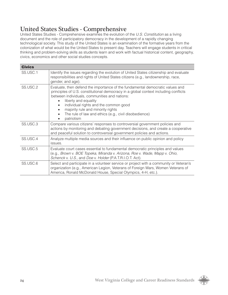### United States Studies - Comprehensive

United States Studies - Comprehensive examines the evolution of the *U.S. Constitution* as a living document and the role of participatory democracy in the development of a rapidly changing technological society. This study of the United States is an examination of the formative years from the colonization of what would be the United States to present day. Teachers will engage students in critical thinking and problem-solving skills as students learn and work with factual historical content, geography, civics, economics and other social studies concepts.

| <b>Civics</b> |                                                                                                                                                                                                                                                                                                                                                                                                    |
|---------------|----------------------------------------------------------------------------------------------------------------------------------------------------------------------------------------------------------------------------------------------------------------------------------------------------------------------------------------------------------------------------------------------------|
| SS.USC.1      | Identify the issues regarding the evolution of United States citizenship and evaluate<br>responsibilities and rights of United States citizens (e.g., landownership, race,<br>gender, and age).                                                                                                                                                                                                    |
| SS.USC.2      | Evaluate, then defend the importance of the fundamental democratic values and<br>principles of U.S. constitutional democracy in a global context including conflicts<br>between individuals, communities and nations:<br>liberty and equality<br>individual rights and the common good<br>majority rule and minority rights<br>The rule of law and ethics (e.g., civil disobedience)<br>patriotism |
| SS.USC.3      | Compare various citizens' responses to controversial government policies and<br>actions by monitoring and debating government decisions, and create a cooperative<br>and peaceful solution to controversial government policies and actions.                                                                                                                                                       |
| SS.USC.4      | Analyze multiple media sources and their influence on public opinion and policy<br>issues.                                                                                                                                                                                                                                                                                                         |
| SS.USC.5      | Evaluate court cases essential to fundamental democratic principles and values<br>(e.g., Brown v. BOE Topeka, Miranda v. Arizona, Roe v. Wade, Mapp v. Ohio,<br>Schenck v. U.S., and Doe v. Holder (P.A.T.R.I.O.T. Act).                                                                                                                                                                           |
| SS.USC.6      | Select and participate in a volunteer service or project with a community or Veteran's<br>organization (e.g., American Legion, Veterans of Foreign Wars, Women Veterans of<br>America, Ronald McDonald House, Special Olympics, 4-H, etc.).                                                                                                                                                        |

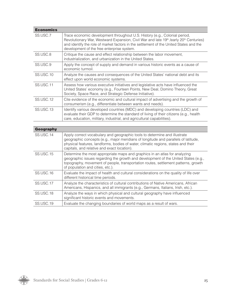| <b>Economics</b> |                                                                                                                                                                                                                                                                                                                                     |
|------------------|-------------------------------------------------------------------------------------------------------------------------------------------------------------------------------------------------------------------------------------------------------------------------------------------------------------------------------------|
| SS.USC.7         | Trace economic development throughout U.S. History (e.g., Colonial period,<br>Revolutionary War, Westward Expansion, Civil War and late 19 <sup>th</sup> /early 20 <sup>th</sup> Centuries)<br>and identify the role of market factors in the settlement of the United States and the<br>development of the free enterprise system. |
| SS.USC.8         | Critique the cause and effect relationship between the labor movement,<br>industrialization, and urbanization in the United States.                                                                                                                                                                                                 |
| SS.USC.9         | Apply the concept of supply and demand in various historic events as a cause of<br>economic turmoil.                                                                                                                                                                                                                                |
| SS.USC.10        | Analyze the causes and consequences of the United States' national debt and its<br>effect upon world economic systems.                                                                                                                                                                                                              |
| SS.USC.11        | Assess how various executive initiatives and legislative acts have influenced the<br>United States' economy (e.g., Fourteen Points, New Deal, Domino Theory, Great<br>Society, Space Race, and Strategic Defense Initiative).                                                                                                       |
| SS.USC.12        | Cite evidence of the economic and cultural impact of advertising and the growth of<br>consumerism (e.g., differentiate between wants and needs).                                                                                                                                                                                    |
| SS.USC.13        | Identify various developed countries (MDC) and developing countries (LDC) and<br>evaluate their GDP to determine the standard of living of their citizens (e.g., health<br>care, education, military, industrial, and agricultural capabilities).                                                                                   |
| Geography        |                                                                                                                                                                                                                                                                                                                                     |

| <b>Geography</b> |                                                                                                                                                                                                                                                                                                     |
|------------------|-----------------------------------------------------------------------------------------------------------------------------------------------------------------------------------------------------------------------------------------------------------------------------------------------------|
| SS.USC.14        | Apply correct vocabulary and geographic tools to determine and illustrate<br>geographic concepts (e.g., major meridians of longitude and parallels of latitude,<br>physical features, landforms, bodies of water, climatic regions, states and their<br>capitals, and relative and exact location). |
| SS.USC.15        | Determine the most appropriate maps and graphics in an atlas for analyzing<br>geographic issues regarding the growth and development of the United States (e.g.,<br>topography, movement of people, transportation routes, settlement patterns, growth<br>of population and cities, etc.).          |
| SS.USC.16        | Evaluate the impact of health and cultural considerations on the quality of life over<br>different historical time periods.                                                                                                                                                                         |
| SS.USC.17        | Analyze the characteristics of cultural contributions of Native Americans, African<br>Americans, Hispanics, and all immigrants (e.g., Germans, Italians, Irish, etc.).                                                                                                                              |
| SS.USC.18        | Analyze the ways in which physical and cultural geography have influenced<br>significant historic events and movements.                                                                                                                                                                             |
| SS.USC.19        | Evaluate the changing boundaries of world maps as a result of wars.                                                                                                                                                                                                                                 |

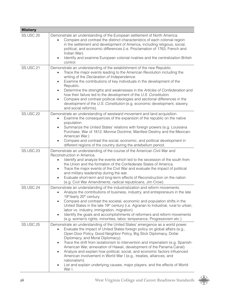| <b>History</b>   |                                                                                                                                                                                                                                                                                                                                                                                                                                                                                                                                                                                                                                                                                                                                 |
|------------------|---------------------------------------------------------------------------------------------------------------------------------------------------------------------------------------------------------------------------------------------------------------------------------------------------------------------------------------------------------------------------------------------------------------------------------------------------------------------------------------------------------------------------------------------------------------------------------------------------------------------------------------------------------------------------------------------------------------------------------|
| <b>SS.USC.20</b> | Demonstrate an understanding of the European settlement of North America.<br>Compare and contrast the distinct characteristics of each colonial region<br>$\bullet$<br>in the settlement and development of America, including religious, social,<br>political, and economic differences (i.e. Proclamation of 1763, French and<br>Indian War).<br>Identify and examine European colonial rivalries and the centralization British<br>$\bullet$<br>control.                                                                                                                                                                                                                                                                     |
| <b>SS.USC.21</b> | Demonstrate an understanding of the establishment of the new Republic.<br>Trace the major events leading to the American Revolution including the<br>$\bullet$<br>writing of the Declaration of Independence.<br>Examine the contributions of key individuals in the development of the<br>$\bullet$<br>Republic.<br>Determine the strengths and weaknesses in the Articles of Confederation and<br>$\bullet$<br>how their failure led to the development of the U.S. Constitution.<br>Compare and contrast political ideologies and sectional differences in the<br>$\bullet$<br>development of the U.S. Constitution (e.g. economic development, slavery,<br>and social reforms).                                             |
| <b>SS.USC.22</b> | Demonstrate an understanding of westward movement and land acquisition.<br>Examine the consequences of the expansion of the republic on the native<br>$\bullet$<br>population.<br>Summarize the United States' relations with foreign powers (e.g. Louisiana<br>$\bullet$<br>Purchase, War of 1812, Monroe Doctrine, Manifest Destiny and the Mexican-<br>American War.)<br>Compare and contrast the social, economic, and political development in<br>$\bullet$<br>different regions of the country during the antebellum period.                                                                                                                                                                                              |
| <b>SS.USC.23</b> | Demonstrate an understanding of the course of the American Civil War and<br>Reconstruction in America.<br>Identify and analyze the events which led to the secession of the south from<br>the Union and the formation of the Confederate States of America.<br>Trace the major events of the Civil War and evaluate the impact of political<br>$\bullet$<br>and military leadership during the war.<br>Evaluate short-term and long-term effects of Reconstruction on the nation<br>$\bullet$<br>(e.g. Civil War Amendments, radical republicans, Jim Crow).                                                                                                                                                                    |
| SS.USC.24        | Demonstrate an understanding of the industrialization and reform movements.<br>Analyze the contributions of business, industry, and entrepreneurs in the late<br>19th/early 20th century.<br>Compare and contrast the societal, economic and population shifts in the<br>$\bullet$<br>United States in the late 19 <sup>th</sup> century (i.e. Agrarian to Industrial, rural to urban,<br>labor vs. industry, immigration, migration).<br>Identify the goals and accomplishments of reformers and reform movements<br>$\bullet$<br>(e.g. women's rights, minorities, labor, temperance, Progressivism etc.)                                                                                                                     |
| <b>SS.USC.25</b> | Demonstrate an understanding of the United States' emergence as a world power.<br>Evaluate the impact of United States foreign policy on global affairs (e.g.,<br>Open Door Policy, Good Neighbor Policy, Big Stick Diplomacy, Dollar<br>Diplomacy, and Moral Diplomacy).<br>Trace the shift from isolationism to intervention and imperialism (e.g. Spanish-<br>$\bullet$<br>American War, annexation of Hawaii, development of the Panama Canal).<br>Analyze and explain how political, social, and economic factors influenced<br>$\bullet$<br>American involvement in World War I (e.g., treaties, alliances, and<br>nationalism).<br>List and explain underlying causes, major players, and the effects of World<br>War I. |

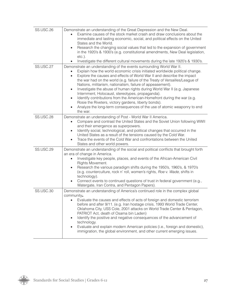| SS.USC.26        | Demonstrate an understanding of the Great Depression and the New Deal.<br>Examine causes of the stock market crash and draw conclusions about the<br>immediate and lasting economic, social, and political effects on the United<br>States and the World.<br>Research the changing social values that led to the expansion of government<br>$\bullet$<br>in the 1920's & 1930's (e.g. constitutional amendments, New Deal legislation,<br>$etc.$ ).<br>Investigate the different cultural movements during the late 1920's & 1930's.<br>$\bullet$                                                                                                                                                                                                                            |
|------------------|------------------------------------------------------------------------------------------------------------------------------------------------------------------------------------------------------------------------------------------------------------------------------------------------------------------------------------------------------------------------------------------------------------------------------------------------------------------------------------------------------------------------------------------------------------------------------------------------------------------------------------------------------------------------------------------------------------------------------------------------------------------------------|
| <b>SS.USC.27</b> | Demonstrate an understanding of the events surrounding World War II.<br>Explain how the world economic crisis initiated worldwide political change.<br>Explore the causes and effects of World War II and describe the impact<br>$\bullet$<br>the war had on the world (e.g. failure of the Treaty of Versailles/League of<br>Nations, militarism, nationalism, failure of appeasement).<br>Investigate the abuse of human rights during World War II (e.g. Japanese<br>$\bullet$<br>Internment, Holocaust, stereotypes, propaganda).<br>Identify contributions from the American-Homefront during the war (e.g.<br>$\bullet$<br>Rosie the Riveters, victory gardens, liberty bonds).<br>Analyze the long-term consequences of the use of atomic weaponry to end<br>the war. |
| SS.USC.28        | Demonstrate an understanding of Post - World War II America.<br>Compare and contrast the United States and the Soviet Union following WWII<br>$\bullet$<br>and their emergence as superpowers.<br>Identify social, technological, and political changes that occurred in the<br>$\bullet$<br>United States as a result of the tensions caused by the Cold War.<br>Trace the events of the Cold War and confrontations between the United<br>$\bullet$<br>States and other world powers.                                                                                                                                                                                                                                                                                      |
| <b>SS.USC.29</b> | Demonstrate an understanding of the social and political conflicts that brought forth<br>an era of change in America.<br>Investigate key people, places, and events of the African-American Civil<br>Rights Movement.<br>Research the various paradigm shifts during the 1950's, 1960's, & 1970's<br>$\bullet$<br>(e.g. counterculture, rock n' roll, women's rights, Roe v. Wade, shifts in<br>technology).<br>Connect events to continued questions of trust in federal government (e.g.,<br>Watergate, Iran Contra, and Pentagon Papers).                                                                                                                                                                                                                                 |
| <b>SS.USC.30</b> | Demonstrate an understanding of America's continued role in the complex global<br>community.<br>Evaluate the causes and effects of acts of foreign and domestic terrorism<br>before and after 9/11. (e.g. Iran hostage crisis, 1993 World Trade Center,<br>Oklahoma City, USS Cole, 2001 attacks on World Trade Center & Pentagon,<br>PATRIOT Act, death of Osama bin Laden)<br>Identify the positive and negative consequences of the advancement of<br>$\bullet$<br>technology.<br>Evaluate and explain modern American policies (i.e., foreign and domestic),<br>$\bullet$<br>immigration, the global environment, and other current emerging issues.                                                                                                                     |

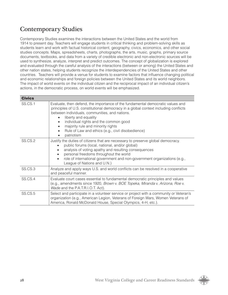### Contemporary Studies

Contemporary Studies examines the interactions between the United States and the world from 1914 to present day. Teachers will engage students in critical thinking and problem-solving skills as students learn and work with factual historical content, geography, civics, economics, and other social studies concepts. Maps, spreadsheets, charts, photographs, the arts, music, graphs, primary source documents, textbooks, and data from a variety of credible electronic and non-electronic sources will be used to synthesize, analyze, interpret and predict outcomes. The concept of globalization is explored and evaluated through the careful analysis of the interactions (between or among) the United States and other nation states, helping students recognize the interdependencies of the United States and other countries. Teachers will provide a venue for students to examine factors that influence changing political and economic relationships and foreign policies between the United States and its world neighbors. The impact of world events on the individual citizen and the reciprocal impact of an individual citizen's actions, in the democratic process, on world events will be emphasized.

| <b>Civics</b> |                                                                                                                                                                                                                                                                                                                                                                                                  |
|---------------|--------------------------------------------------------------------------------------------------------------------------------------------------------------------------------------------------------------------------------------------------------------------------------------------------------------------------------------------------------------------------------------------------|
| SS.CS.1       | Evaluate, then defend, the importance of the fundamental democratic values and<br>principles of U.S. constitutional democracy in a global context including conflicts<br>between individuals, communities, and nations.<br>liberty and equality<br>individual rights and the common good<br>majority rule and minority rights<br>Rule of Law and ethics (e.g., civil disobedience)<br>patriotism |
| SS.CS.2       | Justify the duties of citizens that are necessary to preserve global democracy.<br>public forums (local, national, and/or global)<br>analysis of voting apathy and resulting consequences<br>personal freedoms throughout the world<br>role of international government and non-government organizations (e.g.,<br>$\bullet$<br>League of Nations and U.N.)                                      |
| SS.CS.3       | Analyze and apply ways U.S. and world conflicts can be resolved in a cooperative<br>and peaceful manner.                                                                                                                                                                                                                                                                                         |
| SS.CS.4       | Evaluate court cases essential to fundamental democratic principles and values<br>(e.g., amendments since 1920, Brown v. BOE Topeka, Miranda v. Arizona, Roe v.<br>Wade and the P.A.T.R.I.O.T. Act).                                                                                                                                                                                             |
| SS.CS.5       | Select and participate in a volunteer service or project with a community or Veteran's<br>organization (e.g., American Legion, Veterans of Foreign Wars, Women Veterans of<br>America, Ronald McDonald House, Special Olympics, 4-H, etc.).                                                                                                                                                      |

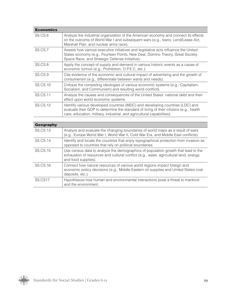| <b>Economics</b> |                                                                                                                                                                                                                                                   |
|------------------|---------------------------------------------------------------------------------------------------------------------------------------------------------------------------------------------------------------------------------------------------|
| SS.CS.6          | Analyze the industrial organization of the American economy and connect its effects<br>on the outcome of World War I and subsequent wars (e.g., loans, Lend/Lease Act,<br>Marshall Plan, and nuclear arms race).                                  |
| SS.CS.7          | Assess how various executive initiatives and legislative acts influence the United<br>States economy (e.g., Fourteen Points, New Deal, Domino Theory, Great Society,<br>Space Race, and Strategic Defense Initiative).                            |
| SS.CS.8          | Apply the concept of supply and demand in various historic events as a cause of<br>economic turmoil (e.g., Prohibition, O.P.E.C, etc.).                                                                                                           |
| SS.CS.9          | Cite evidence of the economic and cultural impact of advertising and the growth of<br>consumerism (e.g., differentiate between wants and needs).                                                                                                  |
| SS.CS.10         | Critique the competing ideologies of various economic systems (e.g., Capitalism,<br>Socialism, and Communism) and resulting world conflicts.                                                                                                      |
| SS.CS.11         | Analyze the causes and consequences of the United States' national debt and their<br>effect upon world economic systems.                                                                                                                          |
| <b>SS.CS.12</b>  | Identify various developed countries (MDC) and developing countries (LDC) and<br>evaluate their GDP to determine the standard of living of their citizens (e.g., health<br>care, education, military, industrial, and agricultural capabilities). |

| Geography       |                                                                                                                                                                                                    |
|-----------------|----------------------------------------------------------------------------------------------------------------------------------------------------------------------------------------------------|
| <b>SS.CS.13</b> | Analyze and evaluate the changing boundaries of world maps as a result of wars<br>(e.g., Europe World War I, World War II, Cold War Era, and Middle East conflicts).                               |
| <b>SS.CS.14</b> | Identify and locate the countries that enjoy topographical protection from invasion as<br>opposed to countries that rely on political boundaries.                                                  |
| SS.CS.15        | Use census data to analyze the demographics of population growth that lead to the<br>exhaustion of resources and cultural conflict (e.g., water, agricultural land, energy,<br>and food supplies). |
| <b>SS.CS.16</b> | Connect how natural resources of various world regions impact foreign and<br>economic policy decisions (e.g., Middle Eastern oil supplies and United States coal<br>deposits, etc.).               |
| SS.CS17         | Hypothesize how human and environmental interactions pose a threat to mankind<br>and the environment.                                                                                              |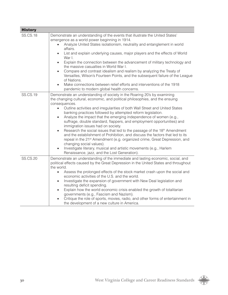| <b>History</b>  |                                                                                                                                                                                                                                                                                                                                                                                                                                                                                                                                                                                                                                                                                                                                                                                                                                                                                                                                                                                      |
|-----------------|--------------------------------------------------------------------------------------------------------------------------------------------------------------------------------------------------------------------------------------------------------------------------------------------------------------------------------------------------------------------------------------------------------------------------------------------------------------------------------------------------------------------------------------------------------------------------------------------------------------------------------------------------------------------------------------------------------------------------------------------------------------------------------------------------------------------------------------------------------------------------------------------------------------------------------------------------------------------------------------|
| <b>SS.CS.18</b> | Demonstrate an understanding of the events that illustrate the United States'<br>emergence as a world power beginning in 1914.<br>Analyze United States isolationism, neutrality and entanglement in world<br>affairs.<br>List and explain underlying causes, major players and the effects of World<br>$\bullet$<br>War I.<br>Explain the connection between the advancement of military technology and<br>$\bullet$<br>the massive casualties in World War I.<br>Compare and contrast idealism and realism by analyzing the Treaty of<br>$\bullet$<br>Versailles, Wilson's Fourteen Points, and the subsequent failure of the League<br>of Nations.<br>Make connections between relief efforts and interventions of the 1918<br>pandemic to modern global health concerns.                                                                                                                                                                                                         |
| <b>SS.CS.19</b> | Demonstrate an understanding of society in the Roaring 20's by examining<br>the changing cultural, economic, and political philosophies, and the ensuing<br>consequences.<br>Outline activities and irregularities of both Wall Street and United States<br>$\bullet$<br>banking practices followed by attempted reform legislation.<br>Analyze the impact that the emerging independence of women (e.g.,<br>$\bullet$<br>suffrage, double standard, flappers, and employment opportunities) and<br>immigration issues had on society.<br>Research the social issues that led to the passage of the 18 <sup>th</sup> Amendment<br>$\bullet$<br>and the establishment of Prohibition, and discuss the factors that led to its<br>repeal in the 21 <sup>st</sup> Amendment (e.g. organized crime, Great Depression, and<br>changing social values).<br>Investigate literary, musical and artistic movements (e.g., Harlem<br>$\bullet$<br>Renaissance, jazz, and the Lost Generation). |
| <b>SS.CS.20</b> | Demonstrate an understanding of the immediate and lasting economic, social, and<br>political effects caused by the Great Depression in the United States and throughout<br>the world.<br>Assess the prolonged effects of the stock market crash upon the social and<br>$\bullet$<br>economic activities of the U.S. and the world.<br>Investigate the expansion of government with New Deal legislation and<br>$\bullet$<br>resulting deficit spending.<br>Explain how the world economic crisis enabled the growth of totalitarian<br>$\bullet$<br>governments (e.g., Fascism and Nazism).<br>Critique the role of sports, movies, radio, and other forms of entertainment in<br>$\bullet$<br>the development of a new culture in America.                                                                                                                                                                                                                                          |

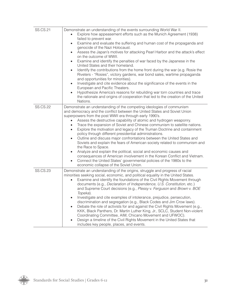| <b>SS.CS.21</b> | Demonstrate an understanding of the events surrounding World War II.<br>Explore how appeasement efforts such as the Munich Agreement (1938)<br>$\bullet$<br>failed to prevent war.<br>Examine and evaluate the suffering and human cost of the propaganda and<br>$\bullet$<br>genocide of the Nazi Holocaust.<br>Assess the Japan's motives for attacking Pearl Harbor and the attack's effect<br>$\bullet$<br>on the outcome of WWII.<br>Examine and identify the penalties of war faced by the Japanese in the<br>$\bullet$<br>United States and their homeland.<br>Identify the contributions from the home front during the war (e.g. Rosie the<br>$\bullet$<br>Riveters - "Rosies", victory gardens, war bond sales, wartime propaganda<br>and opportunities for minorities).<br>Investigate and cite evidence about the significance of the events in the<br>$\bullet$<br>European and Pacific Theaters.<br>Hypothesize America's reasons for rebuilding war torn countries and trace<br>$\bullet$<br>the rationale and origins of cooperation that led to the creation of the United<br>Nations. |
|-----------------|---------------------------------------------------------------------------------------------------------------------------------------------------------------------------------------------------------------------------------------------------------------------------------------------------------------------------------------------------------------------------------------------------------------------------------------------------------------------------------------------------------------------------------------------------------------------------------------------------------------------------------------------------------------------------------------------------------------------------------------------------------------------------------------------------------------------------------------------------------------------------------------------------------------------------------------------------------------------------------------------------------------------------------------------------------------------------------------------------------|
| <b>SS.CS.22</b> | Demonstrate an understanding of the competing ideologies of communism<br>and democracy and the conflict between the United States and Soviet Union<br>superpowers from the post WWII era through early 1990's.<br>Assess the destructive capability of atomic and hydrogen weaponry.<br>Trace the expansion of Soviet and Chinese communism to satellite nations.<br>Explore the motivation and legacy of the Truman Doctrine and containment<br>$\bullet$<br>policy through different presidential administrations.<br>Outline and discuss major confrontations between the United States and<br>Soviets and explain the fears of American society related to communism and<br>the Race to Space.<br>Analyze and explain the political, social and economic causes and<br>consequences of American involvement in the Korean Conflict and Vietnam.<br>Connect the United States' governmental policies of the 1980s to the<br>economic collapse of the Soviet Union.                                                                                                                                   |
| <b>SS.CS.23</b> | Demonstrate an understanding of the origins, struggle and progress of racial<br>minorities seeking social, economic, and political equality in the United States.<br>Examine and identify the foundations of the Civil Rights Movement through<br>documents (e.g., Declaration of Independence, U.S. Constitution, etc.)<br>and Supreme Court decisions (e.g., Plessy v. Ferguson and Brown v. BOE<br>Topeka).<br>Investigate and cite examples of intolerance, prejudice, persecution,<br>discrimination and segregation (e.g., Black Codes and Jim Crow laws).<br>Debate the role of activists for and against the Civil Rights Movement (e.g.,<br>KKK, Black Panthers, Dr. Martin Luther King, Jr., SCLC, Student Non-violent<br>Coordinating Committee, AIM, Chicano Movement and UFWOC).<br>Design a timeline of the Civil Rights Movement in the United States that<br>includes key people, places, and events.                                                                                                                                                                                   |

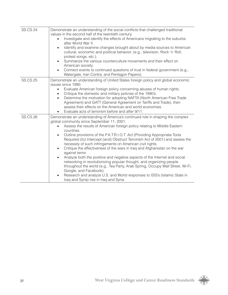| <b>SS.CS.24</b> | Demonstrate an understanding of the social conflicts that challenged traditional<br>values in the second half of the twentieth century.<br>Investigate and identify the effects of Americans migrating to the suburbs<br>after World War II.<br>Identify and examine changes brought about by media sources to American<br>$\bullet$<br>cultural, economic and political behavior. (e.g., television, Rock 'n' Roll,<br>protest songs, etc.).<br>Summarize the various counterculture movements and their effect on<br>$\bullet$<br>American society.<br>Connect events to continued questions of trust in federal government (e.g.,<br>$\bullet$<br>Watergate, Iran Contra, and Pentagon Papers).                                                                                                                                                                                                                                                                                                          |
|-----------------|-------------------------------------------------------------------------------------------------------------------------------------------------------------------------------------------------------------------------------------------------------------------------------------------------------------------------------------------------------------------------------------------------------------------------------------------------------------------------------------------------------------------------------------------------------------------------------------------------------------------------------------------------------------------------------------------------------------------------------------------------------------------------------------------------------------------------------------------------------------------------------------------------------------------------------------------------------------------------------------------------------------|
| <b>SS.CS.25</b> | Demonstrate an understanding of United States foreign policy and global economic<br>issues since 1990.<br>Evaluate American foreign policy concerning abuses of human rights.<br>$\bullet$<br>Critique the domestic and military policies of the 1990's.<br>$\bullet$<br>Determine the motivation for adopting NAFTA (North American Free Trade<br>$\bullet$<br>Agreement) and GATT (General Agreement on Tariffs and Trade), then<br>assess their effects on the American and world economies.<br>Evaluate acts of terrorism before and after 9/11.                                                                                                                                                                                                                                                                                                                                                                                                                                                        |
| <b>SS.CS.26</b> | Demonstrate an understanding of America's continued role in shaping the complex<br>global community since September 11, 2001.<br>Assess the results of American foreign policy relating to Middle Eastern<br>$\bullet$<br>countries.<br>Outline provisions of the P.A.T.R.I.O.T. Act (Providing Appropriate Tools<br>$\bullet$<br>Required (to) Intercept (and) Obstruct Terrorism Act of 2001) and assess the<br>necessity of such infringements on American civil rights.<br>Critique the effectiveness of the wars in Iraq and Afghanistan on the war<br>$\bullet$<br>against terror.<br>Analyze both the positive and negative aspects of the Internet and social<br>$\bullet$<br>networking in revolutionizing popular thought, and organizing people<br>throughout the world (e.g., Tea Party, Arab Spring, Occupy Wall Street, Wi-Fi,<br>Google, and Facebook).<br>Research and analyze U.S. and World responses to ISIS's (Islamic State in<br>$\bullet$<br>Iraq and Syria) rise in Iraq and Syria. |

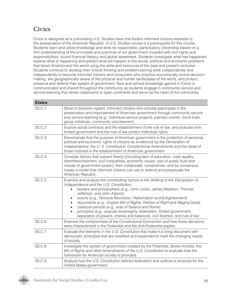### **Civics**

Civics is designed as a culminating U.S. Studies class that fosters informed citizens essential to the perpetuation of the American Republic. A U.S. Studies course is a prerequisite for this course. Students learn and utilize knowledge and skills for responsible, participatory citizenship based on a firm understanding of the principles and practices of our government coupled with civil rights and responsibilities, sound financial literacy and global awareness. Students investigate what has happened, explore what is happening and predict what will happen to the social, political and economic problems that beset America and the world using the skills and resources of the past and present centuries. Students continue to develop their critical thinking and problem-solving skills collaboratively and independently to become informed citizens and consumers who practice economically sound decisionmaking, are geographically aware of the physical and human landscapes of the world, and protect, preserve and defend their system of government. New and refined knowledge gained in Civics is communicated and shared throughout the community as students engage in community service and service-learning that allows classrooms to span continents and serve as the heart of the community.

| <b>Civics</b> |                                                                                                                                                                                                                                                                                                                                                                                                                                                                                                                                                                                                    |
|---------------|----------------------------------------------------------------------------------------------------------------------------------------------------------------------------------------------------------------------------------------------------------------------------------------------------------------------------------------------------------------------------------------------------------------------------------------------------------------------------------------------------------------------------------------------------------------------------------------------------|
| <b>SS.C.1</b> | Strive to become vigilant, informed citizens who actively participate in the<br>preservation and improvement of American government through community service<br>and service-learning (e.g., individual service projects, patriotic events, mock trials,<br>group initiatives, community volunteerism).                                                                                                                                                                                                                                                                                            |
| <b>SS.C.2</b> | Explore social contracts and the establishment of the rule of law, and evaluate how<br>limited government and the rule of law protect individual rights.                                                                                                                                                                                                                                                                                                                                                                                                                                           |
| SS.C.3        | Demonstrate that the purpose of American government is the protection of personal,<br>political and economic rights of citizens as evidenced by the Declaration of<br>Independence, the U. S. Constitution, Constitutional Amendments and the ideas of<br>those involved in the establishment of American government.                                                                                                                                                                                                                                                                              |
| <b>SS.C.4</b> | Consider factors that subvert liberty (including lack of education, voter apathy,<br>disenfranchisement, civil inequalities, economic issues, loss of public trust and<br>misuse of government power), then collaborate, compromise, and by consensus,<br>create a model that informed citizens can use to defend and perpetuate the<br>American Republic.                                                                                                                                                                                                                                         |
| <b>SS.C.5</b> | Examine and analyze the contributing factors to the drafting of the Declaration of<br>Independence and the U.S. Constitution:<br>leaders and philosophers (e.g., John Locke, James Madison, Thomas<br>Jefferson, and John Adams)<br>events (e.g., Glorious Revolution, Reformation and Enlightenment)<br>documents (e.g., English Bill of Rights, Petition of Right and Magna Carta)<br>classical periods (e.g., eras of Greece and Rome)<br>principles (e.g., popular sovereignty, federalism, limited government,<br>separation of powers, checks and balances, civil liberties, and rule of law |
| <b>SS.C.6</b> | Examine the compromises of the Constitutional Convention and how those decisions<br>were characterized in the Federalist and the Anti-Federalist papers.                                                                                                                                                                                                                                                                                                                                                                                                                                           |
| <b>SS.C.7</b> | Evaluate the elements in the U.S. Constitution that make it a living document with<br>democratic principles that are modified and expanded to meet the changing needs<br>of society.                                                                                                                                                                                                                                                                                                                                                                                                               |
| <b>SS.C.8</b> | Investigate the system of government created by the Preamble, Seven Articles, the<br>Bill of Rights and other Amendments of the U.S. Constitution to evaluate how the<br>framework for American society is provided.                                                                                                                                                                                                                                                                                                                                                                               |
| <b>SS.C.9</b> | Analyze how the U.S. Constitution defines federalism and outlines a structure for the<br>United States government.                                                                                                                                                                                                                                                                                                                                                                                                                                                                                 |

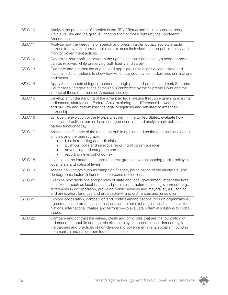| SS.C.10        | Analyze the protection of liberties in the Bill of Rights and their expansion through<br>judicial review and the gradual incorporation of those rights by the Fourteenth<br>Amendment.                                                                                                                                                         |
|----------------|------------------------------------------------------------------------------------------------------------------------------------------------------------------------------------------------------------------------------------------------------------------------------------------------------------------------------------------------|
| SS.C.11        | Analyze how the freedoms of speech and press in a democratic society enable<br>citizens to develop informed opinions, express their views, shape public policy and<br>monitor government actions.                                                                                                                                              |
| SS.C.12        | Determine how conflicts between the rights of citizens and society's need for order<br>can be resolved while preserving both liberty and safety.                                                                                                                                                                                               |
| SS.C.13        | Compare and contrast the original and appellate jurisdictions of local, state and<br>national judicial systems to show how America's court system addresses criminal and<br>civil cases.                                                                                                                                                       |
| SS.C.14        | Apply the concepts of legal precedent through past and present landmark Supreme<br>Court cases, interpretations of the U.S. Constitution by the Supreme Court and the<br>impact of these decisions on American society.                                                                                                                        |
| SS.C.15        | Develop an understanding of the American legal system through examining existing<br>ordinances, statutes and Federal Acts, exploring the differences between criminal<br>and civil law and determining the legal obligations and liabilities of American<br>citizenship.                                                                       |
| SS.C.16        | Critique the evolution of the two-party system in the United States, evaluate how<br>society and political parties have changed over time and analyze how political<br>parties function today.                                                                                                                                                 |
| <b>SS.C.17</b> | Assess the influence of the media on public opinion and on the decisions of elected<br>officials and the bureaucracy:<br>bias in reporting and editorials<br>push-pull polls and selective reporting of citizen opinions<br>advertising and campaign ads<br>reporting news out of context                                                      |
| <b>SS.C.18</b> | Investigate the impact that special interest groups have on shaping public policy at<br>local, state and national levels.                                                                                                                                                                                                                      |
| SS.C.19        | Assess how factors such as campaign finance, participation of the electorate, and<br>demographic factors influence the outcome of elections.                                                                                                                                                                                                   |
| <b>SS.C.20</b> | Examine how decisions and policies of state and local government impact the lives<br>of citizens—such as local issues and problems, structure of local government (e.g.,<br>differences in incorporation, providing public services and mayoral styles), zoning<br>and annexation, land use and urban sprawl, and ordinances and jurisdiction. |
| SS.C.21        | Explore cooperation, competition and conflict among nations through organizations,<br>agreements and protocols, political acts and other exchanges—such as the United<br>Nations, international treaties and terrorism-to evaluate potential solutions to global<br>issues.                                                                    |
| <b>SS.C.22</b> | Compare and contrast the values, ideals and principles that are the foundation of<br>a democratic republic and the role citizens play in a constitutional democracy, to<br>the theories and practices of non-democratic governments (e.g. socialism found in<br>communism and nationalism found in fascism).                                   |

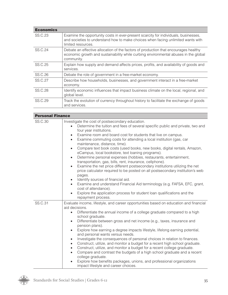| <b>Economics</b> |                                                                                                                                                                                               |
|------------------|-----------------------------------------------------------------------------------------------------------------------------------------------------------------------------------------------|
| SS.C.23          | Examine the opportunity costs in ever-present scarcity for individuals, businesses,<br>and societies to understand how to make choices when facing unlimited wants with<br>limited resources. |
| SS.C.24          | Debate an effective allocation of the factors of production that encourages healthy<br>economic growth and sustainability while curbing environmental abuses in the global<br>community.      |
| SS.C.25          | Explain how supply and demand affects prices, profits, and availability of goods and<br>services.                                                                                             |
| SS.C.26          | Debate the role of government in a free-market economy.                                                                                                                                       |
| SS.C.27          | Describe how households, businesses, and government interact in a free-market<br>economy.                                                                                                     |
| <b>SS.C.28</b>   | Identify economic influences that impact business climate on the local, regional, and<br>global level.                                                                                        |
| SS.C.29          | Track the evolution of currency throughout history to facilitate the exchange of goods<br>and services.                                                                                       |

| <b>Personal Finance</b> |                                                                                                                                                                                                                                                                                                                                                                                                                                                                                                                                                                                                                                                                                                                                                                                                                                                                                                                                                                                                                                                                                                                                                      |  |
|-------------------------|------------------------------------------------------------------------------------------------------------------------------------------------------------------------------------------------------------------------------------------------------------------------------------------------------------------------------------------------------------------------------------------------------------------------------------------------------------------------------------------------------------------------------------------------------------------------------------------------------------------------------------------------------------------------------------------------------------------------------------------------------------------------------------------------------------------------------------------------------------------------------------------------------------------------------------------------------------------------------------------------------------------------------------------------------------------------------------------------------------------------------------------------------|--|
| <b>SS.C.30</b>          | Investigate the cost of postsecondary education.<br>Determine the tuition and fees of several specific public and private, two and<br>$\bullet$<br>four year institutions.<br>Examine room and board cost for students that live on campus.<br>$\bullet$<br>Examine commuting costs for attending a local institution (gas, car<br>$\bullet$<br>maintenance, distance, time).<br>Compare text book costs (used books, new books, digital rentals, Amazon,<br>$\bullet$<br>eCampus, local bookstore, text loaning programs).<br>Determine personal expenses (hobbies, restaurants, entertainment,<br>$\bullet$<br>transportation, gas, bills, rent, insurance, cellphone).<br>Examine the net price different postsecondary institutions utilizing the net<br>$\bullet$<br>price calculator required to be posted on all postsecondary institution's web<br>pages.<br>Identify sources of financial aid.<br>$\bullet$<br>Examine and understand Financial Aid terminology (e.g. FAFSA, EFC, grant,<br>$\bullet$<br>cost of attendance).<br>Explore the application process for student loan qualifications and the<br>$\bullet$<br>repayment process. |  |
| <b>SS.C.31</b>          | Evaluate income, lifestyle, and career opportunities based on education and financial<br>aid decisions.<br>Differentiate the annual income of a college graduate compared to a high<br>$\bullet$<br>school graduate.<br>Differentiate between gross and net income (e.g., taxes, insurance and<br>$\bullet$<br>pension plans).<br>Explore how earning a degree impacts lifestyle, lifelong earning potential,<br>$\bullet$<br>and personal wants versus needs.<br>Investigate the consequences of personal choices in relation to finances.<br>$\bullet$<br>Construct, utilize, and monitor a budget for a recent high school graduate.<br>$\bullet$<br>Construct, utilize, and monitor a budget for a recent college graduate.<br>$\bullet$<br>Compare and contrast the budgets of a high school graduate and a recent<br>$\bullet$<br>college graduate.<br>Explore how benefits packages, unions, and professional organizations<br>$\bullet$<br>impact lifestyle and career choices.                                                                                                                                                              |  |

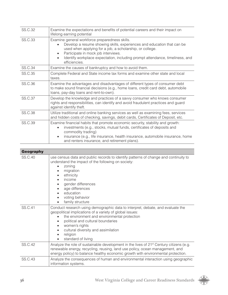| <b>SS.C.32</b> | Examine the expectations and benefits of potential careers and their impact on<br>lifelong earning potential                                                                                                                                                                                                                 |
|----------------|------------------------------------------------------------------------------------------------------------------------------------------------------------------------------------------------------------------------------------------------------------------------------------------------------------------------------|
| <b>SS.C.33</b> | Examine general workforce preparedness skills.<br>Develop a resume showing skills, experiences and education that can be<br>used when applying for a job, a scholarship, or college.<br>Participate in mock job interviews.<br>Identify workplace expectation, including prompt attendance, timeliness, and<br>efficiencies. |
| <b>SS.C.34</b> | Examine the causes of bankruptcy and how to avoid them.                                                                                                                                                                                                                                                                      |
| <b>SS.C.35</b> | Complete Federal and State income tax forms and examine other state and local<br>taxes.                                                                                                                                                                                                                                      |
| <b>SS.C.36</b> | Examine the advantages and disadvantages of different types of consumer debt<br>to make sound financial decisions (e.g., home loans, credit card debt, automobile<br>loans, pay-day loans and rent-to-own).                                                                                                                  |
| <b>SS.C.37</b> | Develop the knowledge and practices of a savvy consumer who knows consumer<br>rights and responsibilities, can identify and avoid fraudulent practices and guard<br>against identify theft.                                                                                                                                  |
| <b>SS.C.38</b> | Utilize traditional and online banking services as well as examining fees, services<br>and hidden costs of checking, savings, debit cards, Certificates of Deposit, etc.                                                                                                                                                     |
| <b>SS.C.39</b> | Examine financial habits that promote economic security, stability and growth:<br>investments (e.g., stocks, mutual funds, certificates of deposits and<br>commodity trading)<br>insurance (e.g., life insurance, health insurance, automobile insurance, home<br>$\bullet$<br>and renters insurance, and retirement plans). |

| <b>Geography</b> |                                                                                                                                                                                                                                                                                                                                         |
|------------------|-----------------------------------------------------------------------------------------------------------------------------------------------------------------------------------------------------------------------------------------------------------------------------------------------------------------------------------------|
| SS.C.40          | use census data and public records to identify patterns of change and continuity to<br>understand the impact of the following on society:<br>zoning<br>migration<br>ethnicity<br>income<br>gender differences<br>age differences<br>education<br>voting behavior<br>$\bullet$<br>family structure<br>٠                                  |
| <b>SS.C.41</b>   | Conduct research using demographic data to interpret, debate, and evaluate the<br>geopolitical implications of a variety of global issues:<br>the environment and environmental protection<br>political and cultural boundaries<br>$\bullet$<br>women's rights<br>cultural diversity and assimilation<br>religion<br>standard of living |
| <b>SS.C.42</b>   | Analyze the role of sustainable development in the lives of 21 <sup>st</sup> Century citizens (e.g.<br>renewable energy, recycling, reusing, land use policy, ocean management, and<br>energy policy) to balance healthy economic growth with environmental protection.                                                                 |
| <b>SS.C.43</b>   | Analyze the consequences of human and environmental interaction using geographic<br>information systems.                                                                                                                                                                                                                                |

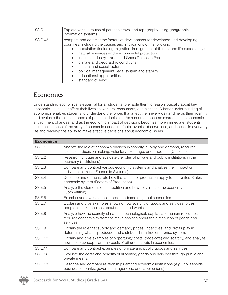| SS.C.44 | Explore various routes of personal travel and topography using geographic<br>information systems.                                                                                                                                                                                                                                                                                                                                                                                                                                                               |
|---------|-----------------------------------------------------------------------------------------------------------------------------------------------------------------------------------------------------------------------------------------------------------------------------------------------------------------------------------------------------------------------------------------------------------------------------------------------------------------------------------------------------------------------------------------------------------------|
| SS.C.45 | compare and contrast the factors of development for developed and developing<br>countries, including the causes and implications of the following:<br>population (including migration, immigration, birth rate, and life expectancy)<br>natural resources and environmental protection<br>$\bullet$<br>income, industry, trade, and Gross Domestic Product<br>$\bullet$<br>climate and geographic conditions<br>$\bullet$<br>cultural and social factors<br>political management, legal system and stability<br>educational opportunities<br>standard of living |

### **Economics**

Understanding economics is essential for all students to enable them to reason logically about key economic issues that affect their lives as workers, consumers, and citizens. A better understanding of economics enables students to understand the forces that affect them every day and helps them identify and evaluate the consequences of personal decisions. As resources become scarce, as the economic environment changes, and as the economic impact of decisions becomes more immediate, students must make sense of the array of economic concepts, facts, events, observations, and issues in everyday life and develop the ability to make effective decisions about economic issues.

| <b>Economics</b> |                                                                                                                                                                                |
|------------------|--------------------------------------------------------------------------------------------------------------------------------------------------------------------------------|
| <b>SS.E.1</b>    | Analyze the role of economic choices in scarcity, supply and demand, resource<br>allocation, decision-making, voluntary exchange, and trade-offs (Choices).                    |
| <b>SS.E.2</b>    | Research, critique and evaluate the roles of private and public institutions in the<br>economy (Institutions).                                                                 |
| <b>SS.E.3</b>    | Compare and contrast various economic systems and analyze their impact on<br>individual citizens (Economic Systems).                                                           |
| <b>SS.E.4</b>    | Describe and demonstrate how the factors of production apply to the United States<br>economic system (Factors of Production).                                                  |
| <b>SS.E.5</b>    | Analyze the elements of competition and how they impact the economy<br>(Competition).                                                                                          |
| <b>SS.E.6</b>    | Examine and evaluate the interdependence of global economies.                                                                                                                  |
| <b>SS.E.7</b>    | Explain and give examples showing how scarcity of goods and services forces<br>people to make choices about needs and wants.                                                   |
| <b>SS.E.8</b>    | Analyze how the scarcity of natural, technological, capital, and human resources<br>requires economic systems to make choices about the distribution of goods and<br>services. |
| <b>SS.E.9</b>    | Explain the role that supply and demand, prices, incentives, and profits play in<br>determining what is produced and distributed in a free enterprise system.                  |
| SS.E.10          | Explain and give examples of opportunity costs (trade-offs) and scarcity, and analyze<br>how these concepts are the basis of other concepts in economics.                      |
| <b>SS.E.11</b>   | Compare and contrast examples of private and public goods and services.                                                                                                        |
| SS.E.12          | Evaluate the costs and benefits of allocating goods and services through public and<br>private means.                                                                          |
| <b>SS.E.13</b>   | Describe and compare relationships among economic institutions (e.g., households,<br>businesses, banks, government agencies, and labor unions).                                |

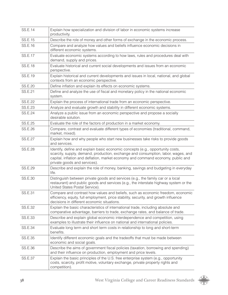| <b>SS.E.14</b> | Explain how specialization and division of labor in economic systems increase<br>productivity.                                                                                                                                                                                          |  |
|----------------|-----------------------------------------------------------------------------------------------------------------------------------------------------------------------------------------------------------------------------------------------------------------------------------------|--|
| SS.E.15        | Describe the role of money and other forms of exchange in the economic process.                                                                                                                                                                                                         |  |
| <b>SS.E.16</b> | Compare and analyze how values and beliefs influence economic decisions in<br>different economic systems.                                                                                                                                                                               |  |
| SS.E.17        | Evaluate economic systems according to how laws, rules and procedures deal with<br>demand, supply and prices.                                                                                                                                                                           |  |
| <b>SS.E.18</b> | Evaluate historical and current social developments and issues from an economic<br>perspective.                                                                                                                                                                                         |  |
| SS.E.19        | Explain historical and current developments and issues in local, national, and global<br>contexts from an economic perspective.                                                                                                                                                         |  |
| SS.E.20        | Define inflation and explain its effects on economic systems.                                                                                                                                                                                                                           |  |
| SS.E.21        | Define and analyze the use of fiscal and monetary policy in the national economic<br>system.                                                                                                                                                                                            |  |
| <b>SS.E.22</b> | Explain the process of international trade from an economic perspective.                                                                                                                                                                                                                |  |
| <b>SS.E.23</b> | Analyze and evaluate growth and stability in different economic systems.                                                                                                                                                                                                                |  |
| <b>SS.E.24</b> | Analyze a public issue from an economic perspective and propose a socially<br>desirable solution.                                                                                                                                                                                       |  |
| <b>SS.E.25</b> | Evaluate the role of the factors of production in a market economy.                                                                                                                                                                                                                     |  |
| SS.E.26        | Compare, contrast and evaluate different types of economies (traditional, command,<br>market, mixed).                                                                                                                                                                                   |  |
| <b>SS.E.27</b> | Explain how and why people who start new businesses take risks to provide goods<br>and services.                                                                                                                                                                                        |  |
| <b>SS.E.28</b> | Identify, define and explain basic economic concepts (e.g., opportunity costs,<br>scarcity, supply, demand, production, exchange and consumption, labor, wages, and<br>capital, inflation and deflation, market economy and command economy, public and<br>private goods and services). |  |
| SS.E.29        | Describe and explain the role of money, banking, savings and budgeting in everyday<br>life.                                                                                                                                                                                             |  |
| SS.E.30        | Distinguish between private goods and services (e.g., the family car or a local<br>restaurant) and public goods and services (e.g., the interstate highway system or the<br>United States Postal Service).                                                                              |  |
| SS.E.31        | Compare and contrast how values and beliefs, such as economic freedom, economic<br>efficiency, equity, full employment, price stability, security, and growth influence<br>decisions in different economic situations.                                                                  |  |
| <b>SS.E.32</b> | Explain the basic characteristics of international trade, including absolute and<br>comparative advantage, barriers to trade, exchange rates, and balance of trade.                                                                                                                     |  |
| <b>SS.E.33</b> | Describe and explain global economic interdependence and competition, using<br>examples to illustrate their influence on national and international policies.                                                                                                                           |  |
| SS.E.34        | Evaluate long term and short term costs in relationship to long and short-term<br>benefits.                                                                                                                                                                                             |  |
| SS.E.35        | Identify different economic goals and the tradeoffs that must be made between<br>economic and social goals.                                                                                                                                                                             |  |
| SS.E.36        | Describe the aims of government fiscal policies (taxation, borrowing and spending)<br>and their influence on production, employment and price levels.                                                                                                                                   |  |
| <b>SS.E.37</b> | Explain the basic principles of the U.S. free enterprise system (e.g., opportunity<br>costs, scarcity, profit motive, voluntary exchange, private property rights and<br>competition).                                                                                                  |  |

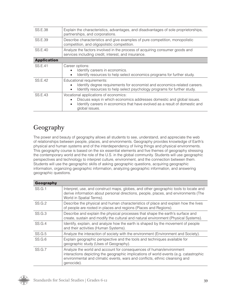| <b>SS.E.38</b>     | Explain the characteristics, advantages, and disadvantages of sole proprietorships,<br>partnerships, and corporations.                                                                                                       |  |
|--------------------|------------------------------------------------------------------------------------------------------------------------------------------------------------------------------------------------------------------------------|--|
| <b>SS.E.39</b>     | Describe characteristics and give examples of pure competition, monopolistic<br>competition, and oligopolistic competition.                                                                                                  |  |
| SS.E.40            | Analyze the factors involved in the process of acquiring consumer goods and<br>services including credit, interest, and insurance.                                                                                           |  |
| <b>Application</b> |                                                                                                                                                                                                                              |  |
| SS.E.41            | Career options:<br>Identify careers in economics.<br>Identify resources to help select economics programs for further study.                                                                                                 |  |
| SS.E.42            | Educational requirements:<br>Identify degree requirements for economist and economics-related careers.<br>Identify resources to help select psychology programs for further study.                                           |  |
| SS.E.43            | Vocational applications of economics:<br>Discuss ways in which economics addresses domestic and global issues.<br>Identify careers in economics that have evolved as a result of domestic and<br>$\bullet$<br>global issues. |  |

### Geography

The power and beauty of geography allows all students to see, understand, and appreciate the web of relationships between people, places, and environments. Geography provides knowledge of Earth's physical and human systems and of the interdependency of living things and physical environments. This geography course is based on the six essential elements and five themes of geography stressing the contemporary world and the role of the U.S. in the global community. Students will use geographic perspectives and technology to interpret culture, environment, and the connection between them. Students will use the geographic skills of asking geographic questions, acquiring geographic information, organizing geographic information, analyzing geographic information, and answering geographic questions.

| <b>Geography</b> |                                                                                                                                                                                                                                                           |
|------------------|-----------------------------------------------------------------------------------------------------------------------------------------------------------------------------------------------------------------------------------------------------------|
| SS.G.1           | Interpret, use, and construct maps, globes, and other geographic tools to locate and<br>derive information about personal directions, people, places, and environments (The<br>World in Spatial Terms).                                                   |
| SS.G.2           | Describe the physical and human characteristics of place and explain how the lives<br>of people are rooted in places and regions (Places and Regions).                                                                                                    |
| SS.G.3           | Describe and explain the physical processes that shape the earth's surface and<br>create, sustain and modify the cultural and natural environment (Physical Systems).                                                                                     |
| SS.G.4           | Identify, explain, and analyze how the earth is shaped by the movement of people<br>and their activities (Human Systems).                                                                                                                                 |
| SS.G.5           | Analyze the interaction of society with the environment (Environment and Society).                                                                                                                                                                        |
| SS.G.6           | Explain geographic perspective and the tools and techniques available for<br>geographic study (Uses of Geography).                                                                                                                                        |
| SS.G.7           | Analyze the world and account for consequences of human/environment<br>interactions depicting the geographic implications of world events (e.g. catastrophic<br>environmental and climatic events, wars and conflicts, ethnic cleansing and<br>genocide). |

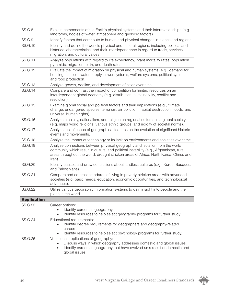| <b>SS.G.8</b>      | Explain components of the Earth's physical systems and their interrelationships (e.g.<br>landforms, bodies of water, atmosphere and geologic factors).                                                                                                                   |  |
|--------------------|--------------------------------------------------------------------------------------------------------------------------------------------------------------------------------------------------------------------------------------------------------------------------|--|
| <b>SS.G.9</b>      | Identify factors that contribute to human and physical changes in places and regions.                                                                                                                                                                                    |  |
| SS.G.10            | Identify and define the world's physical and cultural regions, including political and<br>historical characteristics, and their interdependence in regard to trade, services,<br>migration, and cultural values.                                                         |  |
| SS.G.11            | Analyze populations with regard to life expectancy, infant mortality rates, population<br>pyramids, migration, birth, and death rates.                                                                                                                                   |  |
| SS.G.12            | Evaluate the impact of migration on physical and human systems (e.g., demand for<br>housing, schools, water supply, sewer systems, welfare systems, political systems,<br>and food production).                                                                          |  |
| <b>SS.G.13</b>     | Analyze growth, decline, and development of cities over time.                                                                                                                                                                                                            |  |
| SS.G.14            | Compare and contrast the impact of competition for limited resources on an<br>interdependent global economy (e.g. distribution, sustainability, conflict and<br>resolution).                                                                                             |  |
| SS.G.15            | Examine global social and political factors and their implications (e.g., climate<br>change, endangered species, terrorism, air pollution, habitat destruction, floods, and<br>universal human rights).                                                                  |  |
| SS.G.16            | Analyze ethnicity, nationalism, and religion on regional cultures in a global society<br>(e.g. major world religions, various ethnic groups, and rigidity of societal norms).                                                                                            |  |
| <b>SS.G.17</b>     | Analyze the influence of geographical features on the evolution of significant historic<br>events and movements.                                                                                                                                                         |  |
| SS.G.18            | Analyze the impact of technology or its lack on environments and societies over time.                                                                                                                                                                                    |  |
| SS.G.19            | Analyze connections between physical geography and isolation from the world<br>community which result in cultural and political instability (e.g., Afghanistan, rural<br>areas throughout the world, drought stricken areas of Africa, North Korea, China, and<br>Iran). |  |
| <b>SS.G.20</b>     | Identify causes and draw conclusions about landless cultures (e.g., Kurds, Basques,<br>and Palestinians).                                                                                                                                                                |  |
| SS.G.21            | Compare and contrast standards of living in poverty-stricken areas with advanced<br>societies (e.g. basic needs, education, economic opportunities, and technological<br>advances).                                                                                      |  |
| <b>SS.G.22</b>     | Utilize various geographic information systems to gain insight into people and their<br>place in the world.                                                                                                                                                              |  |
| <b>Application</b> |                                                                                                                                                                                                                                                                          |  |
| <b>SS.G.23</b>     | Career options:<br>Identify careers in geography.<br>Identify resources to help select geography programs for further study.                                                                                                                                             |  |
| <b>SS.G.24</b>     | Educational requirements:<br>Identify degree requirements for geographers and geography-related<br>$\bullet$<br>careers.<br>Identify resources to help select psychology programs for further study.                                                                     |  |
| <b>SS.G.25</b>     | Vocational applications of geography:<br>Discuss ways in which geography addresses domestic and global issues.<br>$\bullet$<br>Identify careers in geography that have evolved as a result of domestic and<br>$\bullet$<br>global issues.                                |  |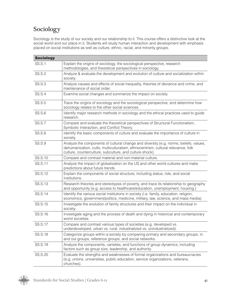### Sociology

Sociology is the study of our society and our relationship to it. This course offers a distinctive look at the social world and our place in it. Students will study human interaction and development with emphasis placed on social institutions as well as culture, ethnic, racial, and minority groups.

| <b>Sociology</b> |                                                                                                                                                                                                                                       |
|------------------|---------------------------------------------------------------------------------------------------------------------------------------------------------------------------------------------------------------------------------------|
| <b>SS.S.1</b>    | Explain the origins of sociology, the sociological perspective, research<br>methodologies, and theoretical perspectives in sociology.                                                                                                 |
| <b>SS.S.2</b>    | Analyze & evaluate the development and evolution of culture and socialization within<br>society.                                                                                                                                      |
| <b>SS.S.3</b>    | Analyze causes and effects of social inequality, theories of deviance and crime, and<br>maintenance of social order.                                                                                                                  |
| <b>SS.S.4</b>    | Examine social changes and summarize the impact on society.                                                                                                                                                                           |
| <b>SS.S.5</b>    | Trace the origins of sociology and the sociological perspective, and determine how<br>sociology relates to the other social sciences.                                                                                                 |
| <b>SS.S.6</b>    | Identify major research methods in sociology and the ethical practices used to guide<br>research.                                                                                                                                     |
| <b>SS.S.7</b>    | Compare and evaluate the theoretical perspectives of Structural Functionalism,<br>Symbolic Interaction, and Conflict Theory.                                                                                                          |
| <b>SS.S.8</b>    | Identify the basic components of culture and evaluate the importance of culture in<br>society.                                                                                                                                        |
| <b>SS.S.9</b>    | Analyze the components of cultural change and diversity (e.g. norms, beliefs, values,<br>dehumanization, cults, multiculturalism, ethnocentrism, cultural relevance, folk<br>culture, counterculture, subculture, and culture shock). |
| SS.S.10          | Compare and contrast material and non-material culture.                                                                                                                                                                               |
| SS.S.11          | Analyze the impact of globalization on the US and other world cultures and make<br>predictions about future trends.                                                                                                                   |
| SS.S.12          | Explain the components of social structure; including status, role, and social<br>institutions.                                                                                                                                       |
| <b>SS.S.13</b>   | Research theories and stereotypes of poverty, and trace its relationship to geography<br>and opportunity (e.g. access to healthcare/education, unemployment, housing.)                                                                |
| SS.S.14          | Identify the various social institutions in society (i.e. family, education, religion,<br>economics, government/politics, medicine, military, law, science, and mass media).                                                          |
| SS.S.15          | Investigate the evolution of family structures and their impact on the individual in<br>society.                                                                                                                                      |
| SS.S.16          | Investigate aging and the process of death and dying in historical and contemporary<br>world societies.                                                                                                                               |
| SS.S.17          | Compare and contrast various types of societies (e.g. developed vs.<br>underdeveloped, urban vs. rural, industrialized vs. unindustrialized).                                                                                         |
| <b>SS.S.18</b>   | Categorize groups within a society by comparing primary and secondary groups, in<br>and out groups, reference groups, and social networks.                                                                                            |
| SS.S.19          | Analyze the components, varieties, and functions of group dynamics; including<br>factors such as group size, leadership, and authority.                                                                                               |
| SS.S.20          | Evaluate the strengths and weaknesses of formal organizations and bureaucracies<br>(e.g. unions, universities, public education, service organizations, veterans,<br>churches).                                                       |

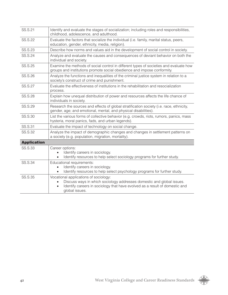| SS.S.21            | Identify and evaluate the stages of socialization; including roles and responsibilities,<br>childhood, adolescence, and adulthood.                                                                                           |  |
|--------------------|------------------------------------------------------------------------------------------------------------------------------------------------------------------------------------------------------------------------------|--|
| <b>SS.S.22</b>     | Evaluate the factors that socialize the individual (i.e. family, marital status, peers,<br>education, gender, ethnicity, media, religion).                                                                                   |  |
| <b>SS.S.23</b>     | Describe how norms and values aid in the development of social control in society.                                                                                                                                           |  |
| SS.S.24            | Analyze and evaluate the causes and consequences of deviant behavior on both the<br>individual and society.                                                                                                                  |  |
| <b>SS.S.25</b>     | Examine the methods of social control in different types of societies and evaluate how<br>groups and institutions promote social obedience and impose conformity.                                                            |  |
| SS.S.26            | Analyze the functions and inequalities of the criminal justice system in relation to a<br>society's construct of crime and punishment.                                                                                       |  |
| <b>SS.S.27</b>     | Evaluate the effectiveness of institutions in the rehabilitation and resocialization<br>process.                                                                                                                             |  |
| <b>SS.S.28</b>     | Explain how unequal distribution of power and resources affects the life chance of<br>individuals in society.                                                                                                                |  |
| SS.S.29            | Research the sources and effects of global stratification society (i.e. race, ethnicity,<br>gender, age; and emotional, mental, and physical disabilities).                                                                  |  |
| SS.S.30            | List the various forms of collective behavior (e.g. crowds, riots, rumors, panics, mass<br>hysteria, moral panics, fads, and urban legends).                                                                                 |  |
| <b>SS.S.31</b>     | Evaluate the impact of technology on social change.                                                                                                                                                                          |  |
| <b>SS.S.32</b>     | Analyze the impact of demographic changes and changes in settlement patterns on<br>a society (e.g. population, migration, mortality).                                                                                        |  |
| <b>Application</b> |                                                                                                                                                                                                                              |  |
| <b>SS.S.33</b>     | Career options:<br>Identify careers in sociology.<br>Identify resources to help select sociology programs for further study.                                                                                                 |  |
| SS.S.34            | Educational requirements:<br>Identify careers in sociology.<br>Identify resources to help select psychology programs for further study.                                                                                      |  |
| <b>SS.S.35</b>     | Vocational applications of sociology:<br>Discuss ways in which sociology addresses domestic and global issues.<br>Identify careers in sociology that have evolved as a result of domestic and<br>$\bullet$<br>global issues. |  |

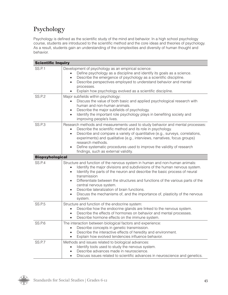## Psychology

Psychology is defined as the scientific study of the mind and behavior. In a high school psychology course, students are introduced to the scientific method and the core ideas and theories of psychology. As a result, students gain an understanding of the complexities and diversity of human thought and behavior.

| <b>Scientific Inquiry</b> |                                                                                                                                                                                                                                                                                                                                                                                                                                                                                                                                                                                |  |
|---------------------------|--------------------------------------------------------------------------------------------------------------------------------------------------------------------------------------------------------------------------------------------------------------------------------------------------------------------------------------------------------------------------------------------------------------------------------------------------------------------------------------------------------------------------------------------------------------------------------|--|
| <b>SS.P.1</b>             | Development of psychology as an empirical science:<br>Define psychology as a discipline and identify its goals as a science.<br>Describe the emergence of psychology as a scientific discipline.<br>$\bullet$<br>Describe perspectives employed to understand behavior and mental<br>$\bullet$<br>processes.<br>Explain how psychology evolved as a scientific discipline.<br>$\bullet$                                                                                                                                                                                        |  |
| SS.P.2                    | Major subfields within psychology:<br>Discuss the value of both basic and applied psychological research with<br>human and non-human animals.<br>Describe the major subfields of psychology.<br>$\bullet$<br>Identify the important role psychology plays in benefiting society and<br>$\bullet$<br>improving people's lives.                                                                                                                                                                                                                                                  |  |
| SS.P.3                    | Research methods and measurements used to study behavior and mental processes:<br>Describe the scientific method and its role in psychology.<br>$\bullet$<br>Describe and compare a variety of quantitative (e.g., surveys, correlations,<br>$\bullet$<br>experiments) and qualitative (e.g., interviews, narratives, focus groups)<br>research methods.<br>Define systematic procedures used to improve the validity of research<br>$\bullet$<br>findings, such as external validity.                                                                                         |  |
| <b>Biopsyhological</b>    |                                                                                                                                                                                                                                                                                                                                                                                                                                                                                                                                                                                |  |
| <b>SS.P.4</b>             | Structure and function of the nervous system in human and non-human animals:<br>Identify the major divisions and subdivisions of the human nervous system.<br>$\bullet$<br>Identify the parts of the neuron and describe the basic process of neural<br>$\bullet$<br>transmission<br>Differentiate between the structures and functions of the various parts of the<br>$\bullet$<br>central nervous system.<br>Describe lateralization of brain functions.<br>$\bullet$<br>Discuss the mechanisms of, and the importance of, plasticity of the nervous<br>$\bullet$<br>system. |  |
| <b>SS.P.5</b>             | Structure and function of the endocrine system:<br>Describe how the endocrine glands are linked to the nervous system.<br>$\bullet$<br>Describe the effects of hormones on behavior and mental processes.<br>Describe hormone effects on the immune system.<br>$\bullet$                                                                                                                                                                                                                                                                                                       |  |
| <b>SS.P.6</b>             | The interaction between biological factors and experience:<br>Describe concepts in genetic transmission.<br>Describe the interactive effects of heredity and environment.<br>$\bullet$<br>Explain how evolved tendencies influence behavior.<br>$\bullet$                                                                                                                                                                                                                                                                                                                      |  |
| SS.P.7                    | Methods and issues related to biological advances:<br>Identify tools used to study the nervous system.<br>Describe advances made in neuroscience.<br>Discuss issues related to scientific advances in neuroscience and genetics.                                                                                                                                                                                                                                                                                                                                               |  |

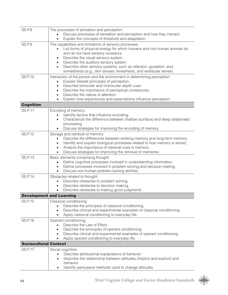| <b>SS.P.8</b>                | The processes of sensation and perception:<br>Discuss processes of sensation and perception and how they interact.<br>Explain the concepts of threshold and adaptation.                                                                                                                                                                                                                                                       |  |
|------------------------------|-------------------------------------------------------------------------------------------------------------------------------------------------------------------------------------------------------------------------------------------------------------------------------------------------------------------------------------------------------------------------------------------------------------------------------|--|
| <b>SS.P.9</b>                | The capabilities and limitations of sensory processes:<br>List forms of physical energy for which humans and non-human animals do<br>and do not have sensory receptors.<br>Describe the visual sensory system.<br>Describe the auditory sensory system.<br>$\bullet$<br>Describe other sensory systems, such as olfaction, gustation, and<br>$\bullet$<br>somesthesis (e.g., skin senses, kinesthesis, and vestibular sense). |  |
| <b>SS.P.10</b>               | Interaction of the person and the environment in determining perception:<br>Explain Gestalt principles of perception.<br>$\bullet$<br>Describe binocular and monocular depth cues.<br>$\bullet$<br>Describe the importance of perceptual constancies.<br>$\bullet$<br>Describe the nature of attention.<br>Explain how experiences and expectations influence perception.                                                     |  |
| <b>Cognition</b>             |                                                                                                                                                                                                                                                                                                                                                                                                                               |  |
| SS.P.11                      | Encoding of memory:<br>Identify factors that influence encoding.<br>Characterize the difference between shallow (surface) and deep (elaborate)<br>processing<br>Discuss strategies for improving the encoding of memory.                                                                                                                                                                                                      |  |
| <b>SS.P.12</b>               | Storage and retrieval of memory:<br>Describe the differences between working memory and long-term memory.<br>Identify and explain biological processes related to how memory is stored.<br>Analyze the importance of retrieval cues in memory.<br>Discuss strategies for improving the retrieval of memories.                                                                                                                 |  |
| <b>SS.P.13</b>               | Basic elements comprising thought:<br>Define cognitive processes involved in understanding information.<br>Define processes involved in problem solving and decision making.<br>Discuss non-human problem-solving abilities.<br>$\bullet$                                                                                                                                                                                     |  |
| <b>SS.P.14</b>               | Obstacles related to thought:<br>Describe obstacles to problem solving.<br>Describe obstacles to decision making.<br>Describe obstacles to making good judgments.                                                                                                                                                                                                                                                             |  |
|                              | <b>Development and Learning</b>                                                                                                                                                                                                                                                                                                                                                                                               |  |
| <b>SS.P.15</b>               | Classical conditioning:<br>Describe the principles of classical conditioning.<br>Describe clinical and experimental examples of classical conditioning.<br>Apply classical conditioning to everyday life.                                                                                                                                                                                                                     |  |
| SS.P.16                      | Operant conditioning:<br>Describe the Law of Effect.<br>Describe the principles of operant conditioning.<br>$\bullet$<br>Describe clinical and experimental examples of operant conditioning.<br>$\bullet$<br>Apply operant conditioning to everyday life.<br>$\bullet$                                                                                                                                                       |  |
| <b>Sociocultural Context</b> |                                                                                                                                                                                                                                                                                                                                                                                                                               |  |
| <b>SS.P.17</b>               | Social cognition:<br>Describe attributional explanations of behavior.<br>Describe the relationship between attitudes (implicit and explicit) and<br>$\bullet$<br>behavior.<br>Identify persuasive methods used to change attitudes.<br>$\bullet$                                                                                                                                                                              |  |

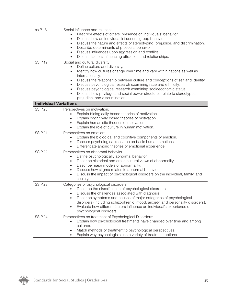| ss.P.18                      | Social influence and relations:<br>Describe effects of others' presence on individuals' behavior.<br>Discuss how an individual influences group behavior.<br>$\bullet$<br>Discuss the nature and effects of stereotyping, prejudice, and discrimination.<br>$\bullet$<br>Describe determinants of prosocial behavior.<br>$\bullet$<br>Discuss influences upon aggression and conflict.<br>Discuss factors influencing attraction and relationships.                                                                                                                              |
|------------------------------|----------------------------------------------------------------------------------------------------------------------------------------------------------------------------------------------------------------------------------------------------------------------------------------------------------------------------------------------------------------------------------------------------------------------------------------------------------------------------------------------------------------------------------------------------------------------------------|
| <b>SS.P.19</b>               | Social and cultural diversity:<br>Define culture and diversity.<br>$\bullet$<br>Identify how cultures change over time and vary within nations as well as<br>$\bullet$<br>internationally.<br>Discuss the relationship between culture and conceptions of self and identity.<br>$\bullet$<br>Discuss psychological research examining race and ethnicity.<br>$\bullet$<br>Discuss psychological research examining socioeconomic status.<br>$\bullet$<br>Discuss how privilege and social power structures relate to stereotypes,<br>$\bullet$<br>prejudice, and discrimination. |
| <b>Individual Variations</b> |                                                                                                                                                                                                                                                                                                                                                                                                                                                                                                                                                                                  |
| <b>SS.P.20</b>               | Perspectives on motivation:<br>Explain biologically based theories of motivation.<br>Explain cognitively based theories of motivation.<br>$\bullet$<br>Explain humanistic theories of motivation.<br>$\bullet$<br>Explain the role of culture in human motivation.<br>$\bullet$                                                                                                                                                                                                                                                                                                  |
| <b>SS.P.21</b>               | Perspectives on emotion:<br>Explain the biological and cognitive components of emotion.<br>Discuss psychological research on basic human emotions.<br>Differentiate among theories of emotional experience.<br>$\bullet$                                                                                                                                                                                                                                                                                                                                                         |
| <b>SS.P.22</b>               | Perspectives on abnormal behavior:<br>Define psychologically abnormal behavior.<br>$\bullet$<br>Describe historical and cross-cultural views of abnormality.<br>$\bullet$<br>Describe major models of abnormality.<br>$\bullet$<br>Discuss how stigma relates to abnormal behavior.<br>$\bullet$<br>Discuss the impact of psychological disorders on the individual, family, and<br>$\bullet$<br>society.                                                                                                                                                                        |
| <b>SS.P.23</b>               | Categories of psychological disorders:<br>Describe the classification of psychological disorders.<br>Discuss the challenges associated with diagnosis.<br>Describe symptoms and causes of major categories of psychological<br>disorders (including schizophrenic, mood, anxiety, and personality disorders).<br>Evaluate how different factors influence an individual's experience of<br>psychological disorders.                                                                                                                                                              |
| <b>SS.P.24</b>               | Perspectives on treatment of Psychological Disorders:<br>Explain how psychological treatments have changed over time and among<br>cultures.<br>Match methods of treatment to psychological perspectives.<br>Explain why psychologists use a variety of treatment options.                                                                                                                                                                                                                                                                                                        |

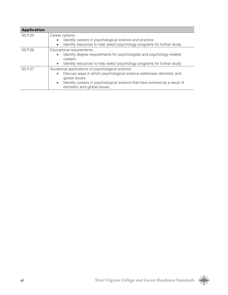| <b>Application</b> |                                                                                                                                                                                                                                                                                  |
|--------------------|----------------------------------------------------------------------------------------------------------------------------------------------------------------------------------------------------------------------------------------------------------------------------------|
| <b>SS.P.25</b>     | Career options:<br>Identify careers in psychological science and practice.<br>$\bullet$<br>Identify resources to help select psychology programs for further study.<br>$\bullet$                                                                                                 |
| <b>SS.P.26</b>     | Educational requirements:<br>Identify degree requirements for psychologists and psychology-related<br>$\bullet$<br>careers.<br>Identify resources to help select psychology programs for further study.<br>$\bullet$                                                             |
| SS.P.27            | Vocational applications of psychological science:<br>Discuss ways in which psychological science addresses domestic and<br>$\bullet$<br>global issues.<br>Identify careers in psychological science that have evolved as a result of<br>$\bullet$<br>domestic and global issues. |

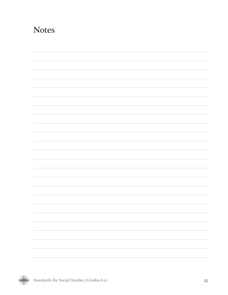## **Notes**